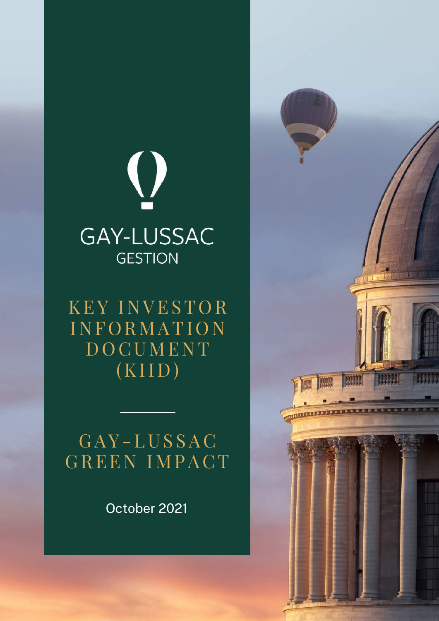

KEY INVESTOR **INFORMATION DOCUMENT**  $(KIID)$ 

# G AY - LUS SAC GREEN IMPACT

October 2021

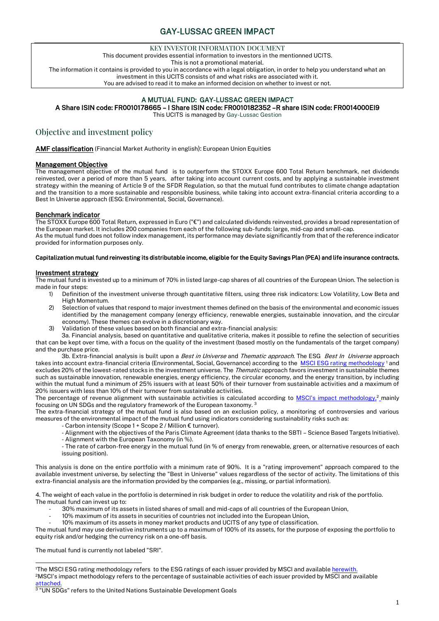#### KEY INVESTOR INFORMATION DOCUMENT

This document provides essential information to investors in the mentionned UCITS.

This is not a promotional material.

The information it contains is provided to you in accordance with a legal obligation, in order to help you understand what an investment in this UCITS consists of and what risks are associated with it.

You are advised to read it to make an informed decision on whether to invest or not.

## A MUTUAL FUND: GAY-LUSSAC GREEN IMPACT

### A Share ISIN code: FR0010178665 – I Share ISIN code: FR0010182352 –R share ISIN code: FR0014000EI9

This UCITS is managed by Gay-Lussac Gestion

## Objective and investment policy

AMF classification (Financial Market Authority in english): European Union Equities

#### Management Objective

The management objective of the mutual fund is to outperform the STOXX Europe 600 Total Return benchmark, net dividends reinvested, over a period of more than 5 years, after taking into account current costs, and by applying a sustainable investment strategy within the meaning of Article 9 of the SFDR Regulation, so that the mutual fund contributes to climate change adaptation and the transition to a more sustainable and responsible business, while taking into account extra-financial criteria according to a Best In Universe approach (ESG: Environmental, Social, Governance).

#### Benchmark indicator

The STOXX Europe 600 Total Return, expressed in Euro ("€") and calculated dividends reinvested, provides a broad representation of the European market. It includes 200 companies from each of the following sub-funds: large, mid-cap and small-cap.

As the mutual fund does not follow index management, its performance may deviate significantly from that of the reference indicator provided for information purposes only.

#### Capitalization mutual fund reinvesting its distributable income, eligible for the Equity Savings Plan (PEA) and life insurance contracts.

#### Investment strategy

The mutual fund is invested up to a minimum of 70% in listed large-cap shares of all countries of the European Union. The selection is made in four steps:

- 1) Definition of the investment universe through quantitative filters, using three risk indicators: Low Volatility, Low Beta and High Momentum.
- 2) Selection of values that respond to major investment themes defined on the basis of the environmental and economic issues identified by the management company (energy efficiency, renewable energies, sustainable innovation, and the circular economy). These themes can evolve in a discretionary way.
- 3) Validation of these values based on both financial and extra-financial analysis:

3a. Financial analysis, based on quantitative and qualitative criteria, makes it possible to refine the selection of securities that can be kept over time, with a focus on the quality of the investment (based mostly on the fundamentals of the target company) and the purchase price.

3b. Extra-financial analysis is built upon a *Best in Universe* and Thematic approach. The ESG Best In Universe approach takes into account extra-financial criteria (Environmental, Social, Governance) according to the [MSCI ESG rating methodology](https://www.msci.com/documents/1296102/21901542/MSCI+ESG+Ratings+Methodology+-+Exec+Summary+Nov+2020.pdf)<sup>1</sup> and excludes 20% of the lowest-rated stocks in the investment universe. The Thematic approach favors investment in sustainable themes such as sustainable innovation, renewable energies, energy efficiency, the circular economy, and the energy transition, by including within the mutual fund a minimum of 25% issuers with at least 50% of their turnover from sustainable activities and a maximum of 20% issuers with less than 10% of their turnover from sustainable activities.

The percentage of revenue alignment with sustainable activities is calculated according to [MSCI's impact methodology,](https://www.msci.com/eqb/methodology/meth_docs/MSCI_ACWI_Sustainable_Impact_Index_Feb2021.pdf)<sup>2</sup> mainly focusing on UN SDGs and the regulatory framework of the European taxonomy. <sup>3</sup>

The extra-financial strategy of the mutual fund is also based on an exclusion policy, a monitoring of controversies and various measures of the environmental impact of the mutual fund using indicators considering sustainability risks such as:

- Carbon intensity (Scope 1 + Scope 2 / Million € turnover).
- Alignment with the objectives of the Paris Climate Agreement (data thanks to the SBTI Science Based Targets Initiative). - Alignment with the European Taxonomy (in %).
- The rate of carbon-free energy in the mutual fund (in % of energy from renewable, green, or alternative resources of each issuing position).

This analysis is done on the entire portfolio with a minimum rate of 90%. It is a "rating improvement" approach compared to the available investment universe, by selecting the "Best in Universe" values regardless of the sector of activity. The limitations of this extra-financial analysis are the information provided by the companies (e.g., missing, or partial information).

4. The weight of each value in the portfolio is determined in risk budget in order to reduce the volatility and risk of the portfolio. The mutual fund can invest up to:

- 30% maximum of its assets in listed shares of small and mid-caps of all countries of the European Union,
- 10% maximum of its assets in securities of countries not included into the European Union,
- 10% maximum of its assets in money market products and UCITS of any type of classification.

The mutual fund may use derivative instruments up to a maximum of 100% of its assets, for the purpose of exposing the portfolio to equity risk and/or hedging the currency risk on a one-off basis.

The mutual fund is currently not labeled "SRI".

<sup>1</sup>The MSCI ESG rating methodology refers to the ESG ratings of each issuer provided by MSCI and availabl[e herewith.](https://www.msci.com/documents/1296102/21901542/MSCI+ESG+Ratings+Methodology+-+Exec+Summary+Nov+2020.pdf) <sup>2</sup>MSCI's impact methodology refers to the percentage of sustainable activities of each issuer provided by MSCI and available [attached.](https://www.msci.com/eqb/methodology/meth_docs/MSCI_ACWI_Sustainable_Impact_Index_Feb2021.pdf)

<sup>3</sup> "UN SDGs" refers to the United Nations Sustainable Development Goals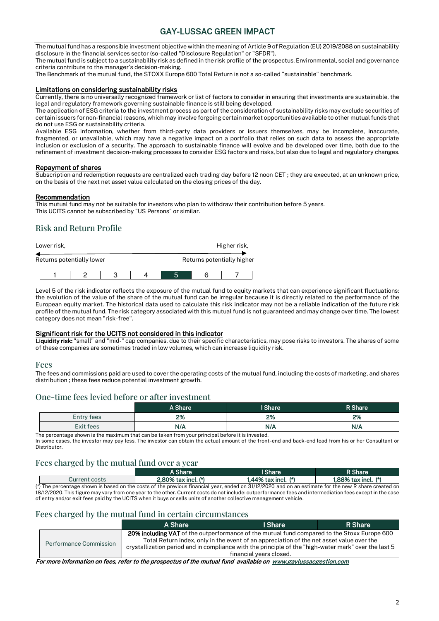The mutual fund has a responsible investment objective within the meaning of Article 9 of Regulation (EU) 2019/2088 on sustainability disclosure in the financial services sector (so-called "Disclosure Regulation" or "SFDR").

The mutual fund is subject to a sustainability risk as defined in the risk profile of the prospectus. Environmental, social and governance criteria contribute to the manager's decision-making.

The Benchmark of the mutual fund, the STOXX Europe 600 Total Return is not a so-called "sustainable" benchmark.

#### Limitations on considering sustainability risks

Currently, there is no universally recognized framework or list of factors to consider in ensuring that investments are sustainable, the legal and regulatory framework governing sustainable finance is still being developed.

The application of ESG criteria to the investment process as part of the consideration of sustainability risks may exclude securities of certain issuers for non-financial reasons, which may involve forgoing certain market opportunities available to other mutual funds that do not use ESG or sustainability criteria.

Available ESG information, whether from third-party data providers or issuers themselves, may be incomplete, inaccurate, fragmented, or unavailable, which may have a negative impact on a portfolio that relies on such data to assess the appropriate inclusion or exclusion of a security. The approach to sustainable finance will evolve and be developed over time, both due to the refinement of investment decision-making processes to consider ESG factors and risks, but also due to legal and regulatory changes.

#### Repayment of shares

Subscription and redemption requests are centralized each trading day before 12 noon CET ; they are executed, at an unknown price, on the basis of the next net asset value calculated on the closing prices of the day.

#### Recommendation

This mutual fund may not be suitable for investors who plan to withdraw their contribution before 5 years. This UCITS cannot be subscribed by "US Persons" or similar.

## Risk and Return Profile

| Lower risk, |                           |  |  |  |  | Higher risk,               |
|-------------|---------------------------|--|--|--|--|----------------------------|
|             | Returns potentially lower |  |  |  |  | Returns potentially higher |
|             |                           |  |  |  |  |                            |

Level 5 of the risk indicator reflects the exposure of the mutual fund to equity markets that can experience significant fluctuations: the evolution of the value of the share of the mutual fund can be irregular because it is directly related to the performance of the European equity market. The historical data used to calculate this risk indicator may not be a reliable indication of the future risk profile of the mutual fund. The risk category associated with this mutual fund is not guaranteed and may change over time. The lowest category does not mean "risk-free".

#### Significant risk for the UCITS not considered in this indicator

Liquidity risk: "small" and "mid-" cap companies, due to their specific characteristics, may pose risks to investors. The shares of some of these companies are sometimes traded in low volumes, which can increase liquidity risk.

#### Fees

The fees and commissions paid are used to cover the operating costs of the mutual fund, including the costs of marketing, and shares distribution ; these fees reduce potential investment growth.

### One-time fees levied before or after investment

|            | A Share | I Share | R Share' |
|------------|---------|---------|----------|
| Entry fees | 2%      | 2%      | 2%       |
| Exit fees  | N/A     | N/A     | N/A      |

The percentage shown is the maximum that can be taken from your principal before it is invested.

In some cases, the investor may pay less. The investor can obtain the actual amount of the front-end and back-end load from his or her Consultant or Distributor.

## Fees charged by the mutual fund over a year

|                                                                                                                                                      | A Share                  | l Share               | R Share               |
|------------------------------------------------------------------------------------------------------------------------------------------------------|--------------------------|-----------------------|-----------------------|
| Current costs                                                                                                                                        | $2.80\%$ tax incl. $(*)$ | 1.44% tax incl. $(*)$ | 1.88% tax incl. $(*)$ |
| (*) The percentage shown is based on the costs of the previous financial year, ended on 31/12/2020 and on an estimate for the new R share created on |                          |                       |                       |
| 10.4010000000001100                                                                                                                                  |                          |                       |                       |

18/12/2020. This figure may vary from one year to the other. Current costs do not include: outperformance fees and intermediation fees except in the case of entry and/or exit fees paid by the UCITS when it buys or sells units of another collective management vehicle.

#### Fees charged by the mutual fund in certain circumstances

|                        | A Share                                                                                                                                                                                                                                                                                                | I Share                 | R Share |
|------------------------|--------------------------------------------------------------------------------------------------------------------------------------------------------------------------------------------------------------------------------------------------------------------------------------------------------|-------------------------|---------|
| Performance Commission | <b>20% including VAT</b> of the outperformance of the mutual fund compared to the Stoxx Europe 600<br>Total Return index, only in the event of an appreciation of the net asset value over the<br>crystallization period and in compliance with the principle of the "high-water mark" over the last 5 | financial vears closed. |         |

For more information on fees, refer to the prospectus of the mutual fund available on [www.gaylussacgestion.com](http://www.gaylussacgestion.com/)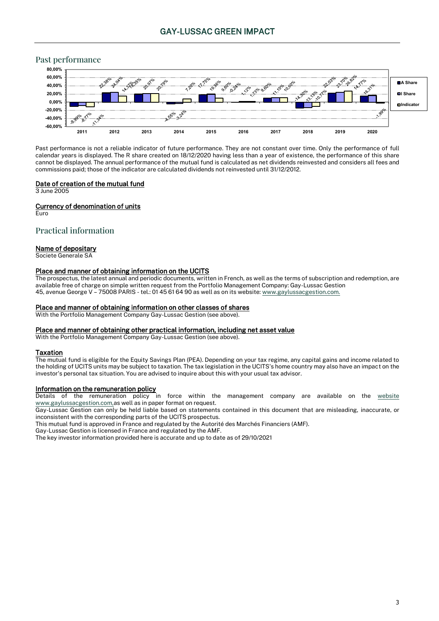## Past performance



Past performance is not a reliable indicator of future performance. They are not constant over time. Only the performance of full calendar years is displayed. The R share created on 18/12/2020 having less than a year of existence, the performance of this share cannot be displayed. The annual performance of the mutual fund is calculated as net dividends reinvested and considers all fees and commissions paid; those of the indicator are calculated dividends not reinvested until 31/12/2012.

#### Date of creation of the mutual fund

3 June 2005

#### Currency of denomination of units

Euro

#### Practical information

#### Name of depositary

Societe Generale SA

#### Place and manner of obtaining information on the UCITS

The prospectus, the latest annual and periodic documents, written in French, as well as the terms of subscription and redemption, are available free of charge on simple written request from the Portfolio Management Company: Gay-Lussac Gestion 45, avenue George V – 75008 PARIS - tel.: 01 45 61 64 90 as well as on its website[: www.gaylussacgestion.com.](http://www.gaylussacgestion.com/)

#### Place and manner of obtaining information on other classes of shares

With the Portfolio Management Company Gay-Lussac Gestion (see above).

#### Place and manner of obtaining other practical information, including net asset value

With the Portfolio Management Company Gay-Lussac Gestion (see above).

#### **Taxation**

The mutual fund is eligible for the Equity Savings Plan (PEA). Depending on your tax regime, any capital gains and income related to the holding of UCITS units may be subject to taxation. The tax legislation in the UCITS's home country may also have an impact on the investor's personal tax situation. You are advised to inquire about this with your usual tax advisor.

#### Information on the remuneration policy

Details of the remuneration policy in force within the management company are available on the [website](http://www.gaylussacgestion.com/)  [www.gaylussacgestion.com,a](http://www.gaylussacgestion.com/)s well as in paper format on request.

Gay-Lussac Gestion can only be held liable based on statements contained in this document that are misleading, inaccurate, or inconsistent with the corresponding parts of the UCITS prospectus.

This mutual fund is approved in France and regulated by the Autorité des Marchés Financiers (AMF).

Gay-Lussac Gestion is licensed in France and regulated by the AMF.

The key investor information provided here is accurate and up to date as of 29/10/2021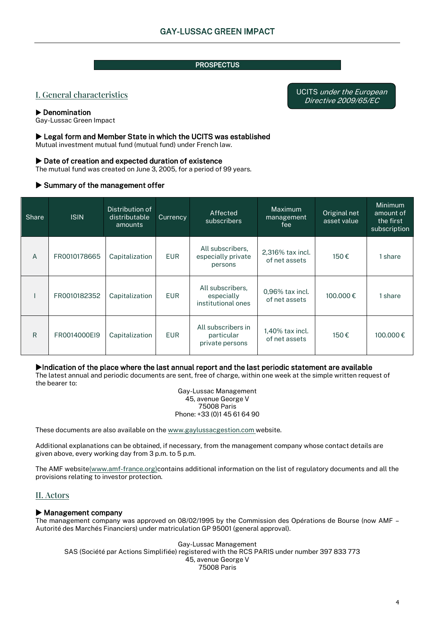## **PROSPECTUS**

## I. General characteristics

#### Denomination

Gay-Lussac Green Impact

### Legal form and Member State in which the UCITS was established

Mutual investment mutual fund (mutual fund) under French law.

### ▶ Date of creation and expected duration of existence

The mutual fund was created on June 3, 2005, for a period of 99 years.

## $\blacktriangleright$  Summary of the management offer

| Share | <b>ISIN</b>  | Distribution of<br>distributable<br>amounts | Currency   | Affected<br>subscribers                              | Maximum<br>management<br>fee      | Original net<br>asset value | Minimum<br>amount of<br>the first<br>subscription |
|-------|--------------|---------------------------------------------|------------|------------------------------------------------------|-----------------------------------|-----------------------------|---------------------------------------------------|
| A     | FR0010178665 | Capitalization                              | <b>EUR</b> | All subscribers.<br>especially private<br>persons    | 2,316% tax incl.<br>of net assets | 150€                        | 1 share                                           |
|       | FR0010182352 | Capitalization                              | <b>EUR</b> | All subscribers,<br>especially<br>institutional ones | 0,96% tax incl.<br>of net assets  | 100,000€                    | share                                             |
| R     | FR0014000EI9 | Capitalization                              | <b>EUR</b> | All subscribers in<br>particular<br>private persons  | 1.40% tax incl.<br>of net assets  | 150€                        | 100.000€                                          |

### Indication of the place where the last annual report and the last periodic statement are available

The latest annual and periodic documents are sent, free of charge, within one week at the simple written request of the bearer to:

Gay-Lussac Management 45, avenue George V 75008 Paris Phone: +33 (0)1 45 61 64 90

These documents are also available on the [www.gaylussacgestion.com](http://www.gaylussacgestion.com/) website.

Additional explanations can be obtained, if necessary, from the management company whose contact details are given above, every working day from 3 p.m. to 5 p.m.

The AMF websit[e\(www.amf-france.org\)c](http://www.amf-france.org/)ontains additional information on the list of regulatory documents and all the provisions relating to investor protection.

## II. Actors

### $\blacktriangleright$  Management company

The management company was approved on 08/02/1995 by the Commission des Opérations de Bourse (now AMF – Autorité des Marchés Financiers) under matriculation GP 95001 (general approval).

Gay-Lussac Management SAS (Société par Actions Simplifiée) registered with the RCS PARIS under number 397 833 773 45, avenue George V 75008 Paris

UCITS under the European Directive 2009/65/EC j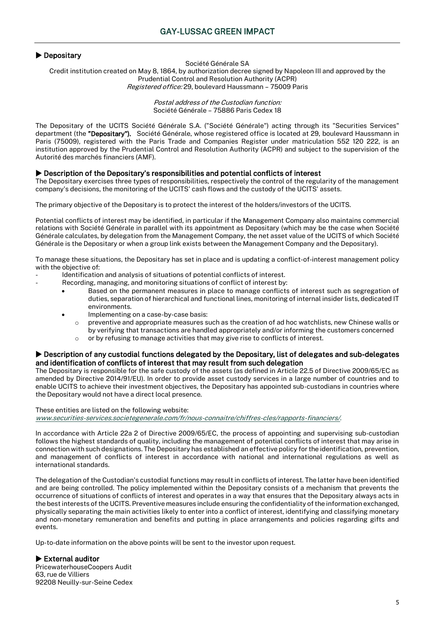## **Depositary**

Société Générale SA

Credit institution created on May 8, 1864, by authorization decree signed by Napoleon III and approved by the Prudential Control and Resolution Authority (ACPR) Registered office: 29, boulevard Haussmann – 75009 Paris

> Postal address of the Custodian function: Société Générale – 75886 Paris Cedex 18

The Depositary of the UCITS Société Générale S.A. ("Société Générale") acting through its "Securities Services" department (the "Depositary"). Société Générale, whose registered office is located at 29, boulevard Haussmann in Paris (75009), registered with the Paris Trade and Companies Register under matriculation 552 120 222, is an institution approved by the Prudential Control and Resolution Authority (ACPR) and subject to the supervision of the Autorité des marchés financiers (AMF).

#### Description of the Depositary's responsibilities and potential conflicts of interest

The Depositary exercises three types of responsibilities, respectively the control of the regularity of the management company's decisions, the monitoring of the UCITS' cash flows and the custody of the UCITS' assets.

The primary objective of the Depositary is to protect the interest of the holders/investors of the UCITS.

Potential conflicts of interest may be identified, in particular if the Management Company also maintains commercial relations with Société Générale in parallel with its appointment as Depositary (which may be the case when Société Générale calculates, by delegation from the Management Company, the net asset value of the UCITS of which Société Générale is the Depositary or when a group link exists between the Management Company and the Depositary).

To manage these situations, the Depositary has set in place and is updating a conflict-of-interest management policy with the objective of:

- Identification and analysis of situations of potential conflicts of interest.
	- Recording, managing, and monitoring situations of conflict of interest by:
		- Based on the permanent measures in place to manage conflicts of interest such as segregation of duties, separation of hierarchical and functional lines, monitoring of internal insider lists, dedicated IT environments.
		- Implementing on a case-by-case basis:
			- o preventive and appropriate measures such as the creation of ad hoc watchlists, new Chinese walls or by verifying that transactions are handled appropriately and/or informing the customers concerned
			- o or by refusing to manage activities that may give rise to conflicts of interest.

#### Description of any custodial functions delegated by the Depositary, list of delegates and sub-delegates and identification of conflicts of interest that may result from such delegation

The Depositary is responsible for the safe custody of the assets (as defined in Article 22.5 of Directive 2009/65/EC as amended by Directive 2014/91/EU). In order to provide asset custody services in a large number of countries and to enable UCITS to achieve their investment objectives, the Depositary has appointed sub-custodians in countries where the Depositary would not have a direct local presence.

#### These entities are listed on the following website:

[www.securities-services.societegenerale.com/fr/nous-connaitre/chiffres-cles/rapports-financiers/.](http://www.securities-services.societegenerale.com/fr/nous-connaitre/chiffres-cles/rapports-financiers/)

In accordance with Article 22a 2 of Directive 2009/65/EC, the process of appointing and supervising sub-custodian follows the highest standards of quality, including the management of potential conflicts of interest that may arise in connection with such designations. The Depositary has established an effective policy for the identification, prevention, and management of conflicts of interest in accordance with national and international regulations as well as international standards.

The delegation of the Custodian's custodial functions may result in conflicts of interest. The latter have been identified and are being controlled. The policy implemented within the Depositary consists of a mechanism that prevents the occurrence of situations of conflicts of interest and operates in a way that ensures that the Depositary always acts in the best interests of the UCITS. Preventive measures include ensuring the confidentiality of the information exchanged, physically separating the main activities likely to enter into a conflict of interest, identifying and classifying monetary and non-monetary remuneration and benefits and putting in place arrangements and policies regarding gifts and events.

Up-to-date information on the above points will be sent to the investor upon request.

### $\blacktriangleright$  External auditor

PricewaterhouseCoopers Audit 63, rue de Villiers 92208 Neuilly-sur-Seine Cedex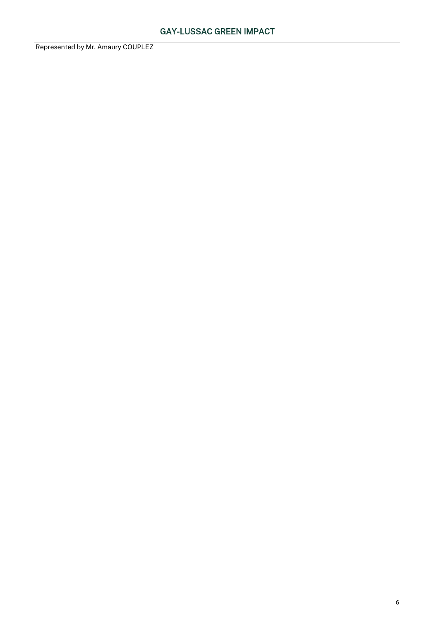Represented by Mr. Amaury COUPLEZ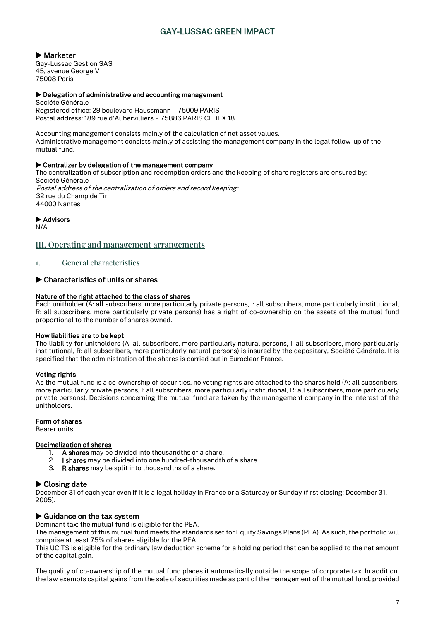Marketer

Gay-Lussac Gestion SAS 45, avenue George V 75008 Paris

#### Delegation of administrative and accounting management

Société Générale Registered office: 29 boulevard Haussmann – 75009 PARIS Postal address: 189 rue d'Aubervilliers – 75886 PARIS CEDEX 18

Accounting management consists mainly of the calculation of net asset values. Administrative management consists mainly of assisting the management company in the legal follow-up of the mutual fund.

#### Centralizer by delegation of the management company

The centralization of subscription and redemption orders and the keeping of share registers are ensured by: Société Générale Postal address of the centralization of orders and record keeping: 32 rue du Champ de Tir 44000 Nantes

▶ Advisors

N/A

## III. Operating and management arrangements

1. General characteristics

## Characteristics of units or shares

#### Nature of the right attached to the class of shares

Each unitholder (A: all subscribers, more particularly private persons, I: all subscribers, more particularly institutional, R: all subscribers, more particularly private persons) has a right of co-ownership on the assets of the mutual fund proportional to the number of shares owned.

#### How liabilities are to be kept

The liability for unitholders (A: all subscribers, more particularly natural persons, I: all subscribers, more particularly institutional, R: all subscribers, more particularly natural persons) is insured by the depositary, Société Générale. It is specified that the administration of the shares is carried out in Euroclear France.

### Voting rights

As the mutual fund is a co-ownership of securities, no voting rights are attached to the shares held (A: all subscribers, more particularly private persons, I: all subscribers, more particularly institutional, R: all subscribers, more particularly private persons). Decisions concerning the mutual fund are taken by the management company in the interest of the unitholders.

#### Form of shares

Bearer units

#### Decimalization of shares

- 1. A shares may be divided into thousandths of a share.
- 2. I shares may be divided into one hundred-thousandth of a share.
- 3. R shares may be split into thousandths of a share.

### ▶ Closing date

December 31 of each year even if it is a legal holiday in France or a Saturday or Sunday (first closing: December 31, 2005).

### Guidance on the tax system

Dominant tax: the mutual fund is eligible for the PEA.

The management of this mutual fund meets the standards set for Equity Savings Plans (PEA). As such, the portfolio will comprise at least 75% of shares eligible for the PEA.

This UCITS is eligible for the ordinary law deduction scheme for a holding period that can be applied to the net amount of the capital gain.

The quality of co-ownership of the mutual fund places it automatically outside the scope of corporate tax. In addition, the law exempts capital gains from the sale of securities made as part of the management of the mutual fund, provided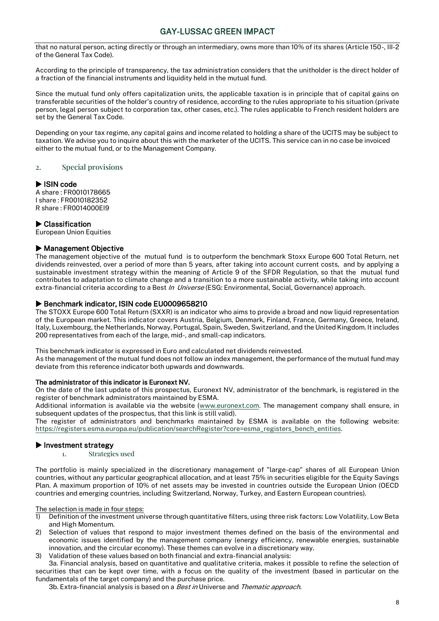that no natural person, acting directly or through an intermediary, owns more than 10% of its shares (Article 150-, III-2 of the General Tax Code).

According to the principle of transparency, the tax administration considers that the unitholder is the direct holder of a fraction of the financial instruments and liquidity held in the mutual fund.

Since the mutual fund only offers capitalization units, the applicable taxation is in principle that of capital gains on transferable securities of the holder's country of residence, according to the rules appropriate to his situation (private person, legal person subject to corporation tax, other cases, etc.). The rules applicable to French resident holders are set by the General Tax Code.

Depending on your tax regime, any capital gains and income related to holding a share of the UCITS may be subject to taxation. We advise you to inquire about this with the marketer of the UCITS. This service can in no case be invoiced either to the mutual fund, or to the Management Company.

2. Special provisions

#### ISIN code

A share : FR0010178665 I share : FR0010182352 R share : FR0014000EI9

#### ▶ Classification

European Union Equities

#### Management Objective

The management objective of the mutual fund is to outperform the benchmark Stoxx Europe 600 Total Return, net dividends reinvested, over a period of more than 5 years, after taking into account current costs, and by applying a sustainable investment strategy within the meaning of Article 9 of the SFDR Regulation, so that the mutual fund contributes to adaptation to climate change and a transition to a more sustainable activity, while taking into account extra-financial criteria according to a Best In Universe (ESG: Environmental, Social, Governance) approach.

#### Benchmark indicator, ISIN code EU0009658210

The STOXX Europe 600 Total Return (SXXR) is an indicator who aims to provide a broad and now liquid representation of the European market. This indicator covers Austria, Belgium, Denmark, Finland, France, Germany, Greece, Ireland, Italy, Luxembourg, the Netherlands, Norway, Portugal, Spain, Sweden, Switzerland, and the United Kingdom. It includes 200 representatives from each of the large, mid-, and small-cap indicators.

This benchmark indicator is expressed in Euro and calculated net dividends reinvested. As the management of the mutual fund does not follow an index management, the performance of the mutual fund may deviate from this reference indicator both upwards and downwards.

#### The administrator of this indicator is Euronext NV.

On the date of the last update of this prospectus, Euronext NV, administrator of the benchmark, is registered in the register of benchmark administrators maintained by ESMA.

Additional information is available via the website [\(www.euronext.com.](http://www.euronext.com/) The management company shall ensure, in subsequent updates of the prospectus, that this link is still valid).

The register of administrators and benchmarks maintained by ESMA is available on the following website: [https://registers.esma.europa.eu/publication/searchRegister?core=esma\\_registers\\_bench\\_entities.](https://urldefense.proofpoint.com/v2/url?u=https-3A__registers.esma.europa.eu_publication_searchRegister-3Fcore-3Desma-5Fregisters-5Fbench-5Fentities&d=DwMGAA&c=dqndFQAGz2cg7ln6ll1EqkpBLZllP_GH8-2iqGbTww0&r=TnMHizWU3Y7S1k3-AL-E_OlMxYJXrNWARffYdY8Y4O8&m=VprQd__bMaOmpJ2gbXy3qL3vFuimzY3QDblCbHD5cwg&s=g3K8GTqI4COQ32WabgmiKZtfr6QY3fGRnigiKtm7z2U&e=) 

### $\blacktriangleright$  Investment strategy

1. Strategies used

The portfolio is mainly specialized in the discretionary management of "large-cap" shares of all European Union countries, without any particular geographical allocation, and at least 75% in securities eligible for the Equity Savings Plan. A maximum proportion of 10% of net assets may be invested in countries outside the European Union (OECD countries and emerging countries, including Switzerland, Norway, Turkey, and Eastern European countries).

The selection is made in four steps:

- 1) Definition of the investment universe through quantitative filters, using three risk factors: Low Volatility, Low Beta and High Momentum.
- 2) Selection of values that respond to major investment themes defined on the basis of the environmental and economic issues identified by the management company (energy efficiency, renewable energies, sustainable innovation, and the circular economy). These themes can evolve in a discretionary way.
- 3) Validation of these values based on both financial and extra-financial analysis:

3a. Financial analysis, based on quantitative and qualitative criteria, makes it possible to refine the selection of securities that can be kept over time, with a focus on the quality of the investment (based in particular on the fundamentals of the target company) and the purchase price.

3b. Extra-financial analysis is based on a *Best in* Universe and *Thematic approach.*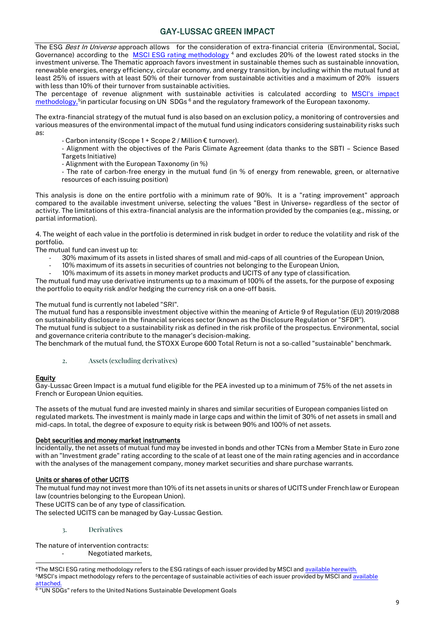The ESG *Best In Universe* approach allows for the consideration of extra-financial criteria (Environmental, Social, Governance) according to the [MSCI ESG rating methodology](https://www.msci.com/documents/1296102/21901542/MSCI+ESG+Ratings+Methodology+-+Exec+Summary+Nov+2020.pdf)<sup>4</sup> and excludes 20% of the lowest rated stocks in the investment universe. The Thematic approach favors investment in sustainable themes such as sustainable innovation, renewable energies, energy efficiency, circular economy, and energy transition, by including within the mutual fund at least 25% of issuers with at least 50% of their turnover from sustainable activities and a maximum of 20% issuers with less than 10% of their turnover from sustainable activities.

The percentage of revenue alignment with sustainable activities is calculated according to [MSCI's impact](https://www.msci.com/eqb/methodology/meth_docs/MSCI_ACWI_Sustainable_Impact_Index_Feb2021.pdf)  [methodology,](https://www.msci.com/eqb/methodology/meth_docs/MSCI_ACWI_Sustainable_Impact_Index_Feb2021.pdf)<sup>5</sup>in particular focusing on UN SDGs <sup>6</sup> and the regulatory framework of the European taxonomy.

The extra-financial strategy of the mutual fund is also based on an exclusion policy, a monitoring of controversies and various measures of the environmental impact of the mutual fund using indicators considering sustainability risks such as:

- Carbon intensity (Scope 1 + Scope 2 / Million € turnover).
- Alignment with the objectives of the Paris Climate Agreement (data thanks to the SBTI Science Based Targets Initiative)
- Alignment with the European Taxonomy (in %)
- The rate of carbon-free energy in the mutual fund (in % of energy from renewable, green, or alternative resources of each issuing position)

This analysis is done on the entire portfolio with a minimum rate of 90%. It is a "rating improvement" approach compared to the available investment universe, selecting the values "Best in Universe» regardless of the sector of activity. The limitations of this extra-financial analysis are the information provided by the companies (e.g., missing, or partial information).

4. The weight of each value in the portfolio is determined in risk budget in order to reduce the volatility and risk of the portfolio.

The mutual fund can invest up to:

- 30% maximum of its assets in listed shares of small and mid-caps of all countries of the European Union,
- 10% maximum of its assets in securities of countries not belonging to the European Union,
- 10% maximum of its assets in money market products and UCITS of any type of classification.

The mutual fund may use derivative instruments up to a maximum of 100% of the assets, for the purpose of exposing the portfolio to equity risk and/or hedging the currency risk on a one-off basis.

#### The mutual fund is currently not labeled "SRI".

The mutual fund has a responsible investment objective within the meaning of Article 9 of Regulation (EU) 2019/2088 on sustainability disclosure in the financial services sector (known as the Disclosure Regulation or "SFDR"). The mutual fund is subject to a sustainability risk as defined in the risk profile of the prospectus. Environmental, social and governance criteria contribute to the manager's decision-making.

The benchmark of the mutual fund, the STOXX Europe 600 Total Return is not a so-called "sustainable" benchmark.

2. Assets (excluding derivatives)

#### **Equity**

Gay-Lussac Green Impact is a mutual fund eligible for the PEA invested up to a minimum of 75% of the net assets in French or European Union equities.

The assets of the mutual fund are invested mainly in shares and similar securities of European companies listed on regulated markets. The investment is mainly made in large caps and within the limit of 30% of net assets in small and mid-caps. In total, the degree of exposure to equity risk is between 90% and 100% of net assets.

#### Debt securities and money market instruments

Incidentally, the net assets of mutual fund may be invested in bonds and other TCNs from a Member State in Euro zone with an "Investment grade" rating according to the scale of at least one of the main rating agencies and in accordance with the analyses of the management company, money market securities and share purchase warrants.

#### Units or shares of other UCITS

The mutual fund may not invest more than 10% of its net assets in units or shares of UCITS under French law or European law (countries belonging to the European Union).

These UCITS can be of any type of classification.

The selected UCITS can be managed by Gay-Lussac Gestion.

#### 3. Derivatives

The nature of intervention contracts:

- Negotiated markets,

<sup>4</sup>The MSCI ESG rating methodology refers to the ESG ratings of each issuer provided by MSCI an[d available herewith.](https://www.msci.com/documents/1296102/21901542/MSCI+ESG+Ratings+Methodology+-+Exec+Summary+Nov+2020.pdf) 5MSCI's impact methodology refers to the percentage of sustainable activities of each issuer provided by MSCI and available **attached** 

<sup>6 &</sup>quot;UN SDGs" refers to the United Nations Sustainable Development Goals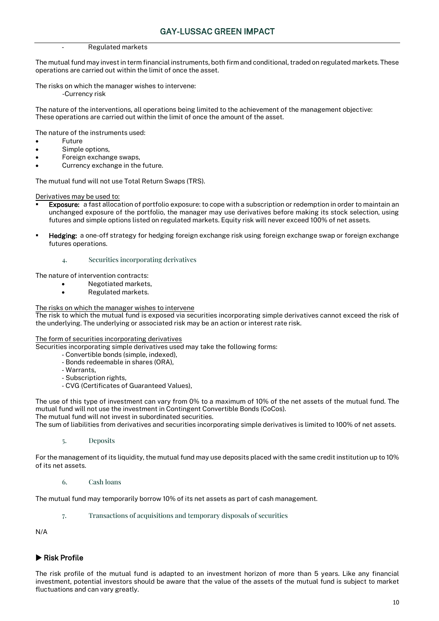#### - Regulated markets

The mutual fund may invest in term financial instruments, both firm and conditional, traded on regulated markets. These operations are carried out within the limit of once the asset.

The risks on which the manager wishes to intervene: -Currency risk

The nature of the interventions, all operations being limited to the achievement of the management objective: These operations are carried out within the limit of once the amount of the asset.

The nature of the instruments used:

- **Future**
- Simple options,
- Foreign exchange swaps,
- Currency exchange in the future.

The mutual fund will not use Total Return Swaps (TRS).

Derivatives may be used to:

- Exposure: a fast allocation of portfolio exposure: to cope with a subscription or redemption in order to maintain an unchanged exposure of the portfolio, the manager may use derivatives before making its stock selection, using futures and simple options listed on regulated markets. Equity risk will never exceed 100% of net assets.
- **Hedging:** a one-off strategy for hedging foreign exchange risk using foreign exchange swap or foreign exchange futures operations.

#### 4. Securities incorporating derivatives

The nature of intervention contracts:

- Negotiated markets,
- Regulated markets.

The risks on which the manager wishes to intervene

The risk to which the mutual fund is exposed via securities incorporating simple derivatives cannot exceed the risk of the underlying. The underlying or associated risk may be an action or interest rate risk.

#### The form of securities incorporating derivatives

Securities incorporating simple derivatives used may take the following forms:

- Convertible bonds (simple, indexed),
- Bonds redeemable in shares (ORA),
- Warrants,
- Subscription rights,
- CVG (Certificates of Guaranteed Values),

The use of this type of investment can vary from 0% to a maximum of 10% of the net assets of the mutual fund. The mutual fund will not use the investment in Contingent Convertible Bonds (CoCos). The mutual fund will not invest in subordinated securities.

The sum of liabilities from derivatives and securities incorporating simple derivatives is limited to 100% of net assets.

5. Deposits

For the management of its liquidity, the mutual fund may use deposits placed with the same credit institution up to 10% of its net assets.

6. Cash loans

The mutual fund may temporarily borrow 10% of its net assets as part of cash management.

7. Transactions of acquisitions and temporary disposals of securities

N/A

## Risk Profile

The risk profile of the mutual fund is adapted to an investment horizon of more than 5 years. Like any financial investment, potential investors should be aware that the value of the assets of the mutual fund is subject to market fluctuations and can vary greatly.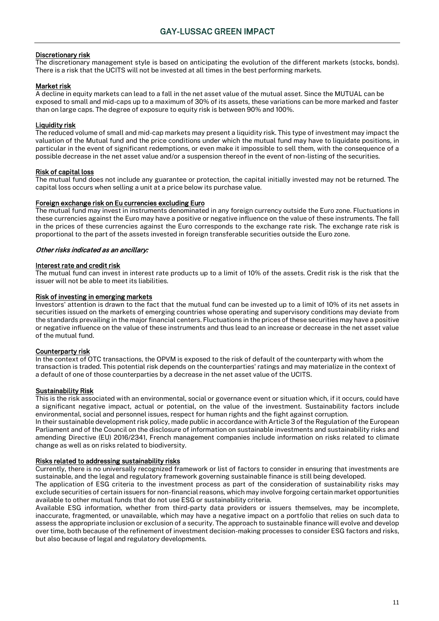#### Discretionary risk

The discretionary management style is based on anticipating the evolution of the different markets (stocks, bonds). There is a risk that the UCITS will not be invested at all times in the best performing markets.

#### Market risk

A decline in equity markets can lead to a fall in the net asset value of the mutual asset. Since the MUTUAL can be exposed to small and mid-caps up to a maximum of 30% of its assets, these variations can be more marked and faster than on large caps. The degree of exposure to equity risk is between 90% and 100%.

#### Liquidity risk

The reduced volume of small and mid-cap markets may present a liquidity risk. This type of investment may impact the valuation of the Mutual fund and the price conditions under which the mutual fund may have to liquidate positions, in particular in the event of significant redemptions, or even make it impossible to sell them, with the consequence of a possible decrease in the net asset value and/or a suspension thereof in the event of non-listing of the securities.

#### Risk of capital loss

The mutual fund does not include any guarantee or protection, the capital initially invested may not be returned. The capital loss occurs when selling a unit at a price below its purchase value.

#### Foreign exchange risk on Eu currencies excluding Euro

The mutual fund may invest in instruments denominated in any foreign currency outside the Euro zone. Fluctuations in these currencies against the Euro may have a positive or negative influence on the value of these instruments. The fall in the prices of these currencies against the Euro corresponds to the exchange rate risk. The exchange rate risk is proportional to the part of the assets invested in foreign transferable securities outside the Euro zone.

#### Other risks indicated as an ancillary:

#### Interest rate and credit risk

The mutual fund can invest in interest rate products up to a limit of 10% of the assets. Credit risk is the risk that the issuer will not be able to meet its liabilities.

#### Risk of investing in emerging markets

Investors' attention is drawn to the fact that the mutual fund can be invested up to a limit of 10% of its net assets in securities issued on the markets of emerging countries whose operating and supervisory conditions may deviate from the standards prevailing in the major financial centers. Fluctuations in the prices of these securities may have a positive or negative influence on the value of these instruments and thus lead to an increase or decrease in the net asset value of the mutual fund.

#### Counterparty risk

In the context of OTC transactions, the OPVM is exposed to the risk of default of the counterparty with whom the transaction is traded. This potential risk depends on the counterparties' ratings and may materialize in the context of a default of one of those counterparties by a decrease in the net asset value of the UCITS.

#### Sustainability Risk

This is the risk associated with an environmental, social or governance event or situation which, if it occurs, could have a significant negative impact, actual or potential, on the value of the investment. Sustainability factors include environmental, social and personnel issues, respect for human rights and the fight against corruption.

In their sustainable development risk policy, made public in accordance with Article 3 of the Regulation of the European Parliament and of the Council on the disclosure of information on sustainable investments and sustainability risks and amending Directive (EU) 2016/2341, French management companies include information on risks related to climate change as well as on risks related to biodiversity.

#### Risks related to addressing sustainability risks

Currently, there is no universally recognized framework or list of factors to consider in ensuring that investments are sustainable, and the legal and regulatory framework governing sustainable finance is still being developed.

The application of ESG criteria to the investment process as part of the consideration of sustainability risks may exclude securities of certain issuers for non-financial reasons, which may involve forgoing certain market opportunities available to other mutual funds that do not use ESG or sustainability criteria.

Available ESG information, whether from third-party data providers or issuers themselves, may be incomplete, inaccurate, fragmented, or unavailable, which may have a negative impact on a portfolio that relies on such data to assess the appropriate inclusion or exclusion of a security. The approach to sustainable finance will evolve and develop over time, both because of the refinement of investment decision-making processes to consider ESG factors and risks, but also because of legal and regulatory developments.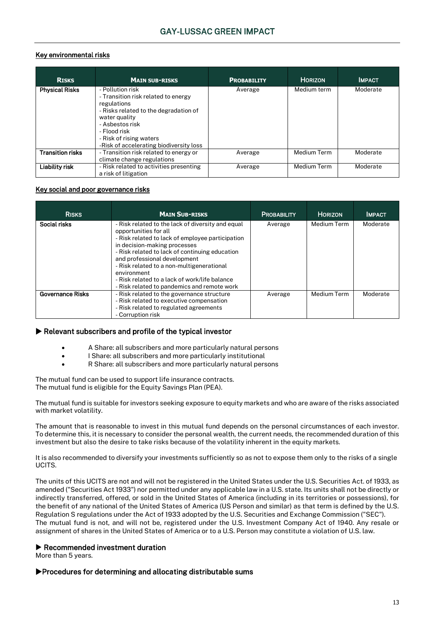## Key environmental risks

| <b>RISKS</b>            | <b>MAIN SUB-RISKS</b>                                                                                                                                                                                                                     | <b>PROBABILITY</b> | <b>HORIZON</b>     | <b>IMPACT</b> |
|-------------------------|-------------------------------------------------------------------------------------------------------------------------------------------------------------------------------------------------------------------------------------------|--------------------|--------------------|---------------|
| <b>Physical Risks</b>   | - Pollution risk<br>- Transition risk related to energy<br>regulations<br>- Risks related to the degradation of<br>water quality<br>- Asbestos risk<br>- Flood risk<br>- Risk of rising waters<br>-Risk of accelerating biodiversity loss | Average            | Medium term        | Moderate      |
| <b>Transition risks</b> | - Transition risk related to energy or<br>climate change regulations                                                                                                                                                                      | Average            | <b>Medium Term</b> | Moderate      |
| Liability risk          | - Risk related to activities presenting<br>a risk of litigation                                                                                                                                                                           | Average            | <b>Medium Term</b> | Moderate      |

#### Key social and poor governance risks

| <b>RISKS</b>            | <b>MAIN SUB-RISKS</b>                                                                                                                                                                                                                                                                                                                                                                                        | <b>PROBABILITY</b> | <b>HORIZON</b> | <b>IMPACT</b> |
|-------------------------|--------------------------------------------------------------------------------------------------------------------------------------------------------------------------------------------------------------------------------------------------------------------------------------------------------------------------------------------------------------------------------------------------------------|--------------------|----------------|---------------|
| Social risks            | - Risk related to the lack of diversity and equal<br>opportunities for all<br>- Risk related to lack of employee participation<br>in decision-making processes<br>- Risk related to lack of continuing education<br>and professional development<br>- Risk related to a non-multigenerational<br>environment<br>- Risk related to a lack of work/life balance<br>- Risk related to pandemics and remote work | Average            | Medium Term    | Moderate      |
| <b>Governance Risks</b> | - Risk related to the governance structure<br>- Risk related to executive compensation<br>- Risk related to regulated agreements<br>- Corruption risk                                                                                                                                                                                                                                                        | Average            | Medium Term    | Moderate      |

### $\blacktriangleright$  Relevant subscribers and profile of the typical investor

- A Share: all subscribers and more particularly natural persons
- I Share: all subscribers and more particularly institutional
- R Share: all subscribers and more particularly natural persons

The mutual fund can be used to support life insurance contracts. The mutual fund is eligible for the Equity Savings Plan (PEA).

The mutual fund is suitable for investors seeking exposure to equity markets and who are aware of the risks associated with market volatility.

The amount that is reasonable to invest in this mutual fund depends on the personal circumstances of each investor. To determine this, it is necessary to consider the personal wealth, the current needs, the recommended duration of this investment but also the desire to take risks because of the volatility inherent in the equity markets.

It is also recommended to diversify your investments sufficiently so as not to expose them only to the risks of a single UCITS.

The units of this UCITS are not and will not be registered in the United States under the U.S. Securities Act. of 1933, as amended ("Securities Act 1933") nor permitted under any applicable law in a U.S. state. Its units shall not be directly or indirectly transferred, offered, or sold in the United States of America (including in its territories or possessions), for the benefit of any national of the United States of America (US Person and similar) as that term is defined by the U.S. Regulation S regulations under the Act of 1933 adopted by the U.S. Securities and Exchange Commission ("SEC"). The mutual fund is not, and will not be, registered under the U.S. Investment Company Act of 1940. Any resale or assignment of shares in the United States of America or to a U.S. Person may constitute a violation of U.S. law.

### Recommended investment duration

More than 5 years.

### Procedures for determining and allocating distributable sums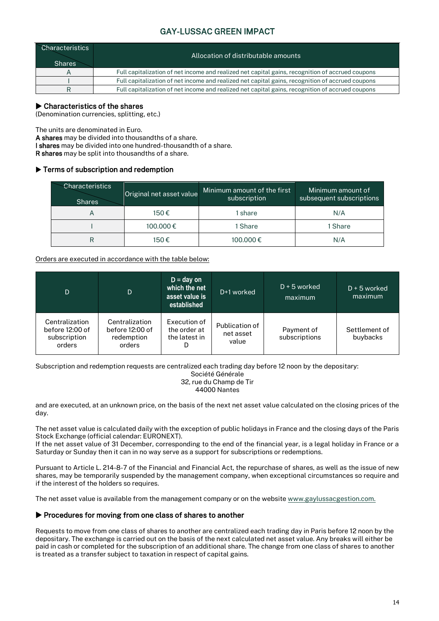| <b>Characteristics</b><br><b>Shares</b> | Allocation of distributable amounts                                                              |
|-----------------------------------------|--------------------------------------------------------------------------------------------------|
|                                         | Full capitalization of net income and realized net capital gains, recognition of accrued coupons |
|                                         | Full capitalization of net income and realized net capital gains, recognition of accrued coupons |
|                                         | Full capitalization of net income and realized net capital gains, recognition of accrued coupons |

## $\blacktriangleright$  Characteristics of the shares

(Denomination currencies, splitting, etc.)

The units are denominated in Euro.

A shares may be divided into thousandths of a share.

I shares may be divided into one hundred-thousandth of a share.

R shares may be split into thousandths of a share.

## **Ferms of subscription and redemption**

| <b>Characteristics</b><br><b>Shares</b> | Original net asset value | Minimum amount of the first<br>subscription | Minimum amount of<br>subsequent subscriptions |
|-----------------------------------------|--------------------------|---------------------------------------------|-----------------------------------------------|
| A                                       | 150€                     | share                                       | N/A                                           |
|                                         | 100.000€                 | 1 Share                                     | 1 Share                                       |
|                                         | 150€                     | 100.000€                                    | N/A                                           |

### Orders are executed in accordance with the table below:

| D                                                           | D                                                         | $D = day$ on<br>which the net<br>asset value is<br>established | D+1 worked                           | $D + 5$ worked<br>maximum   | $D + 5$ worked<br>maximum |
|-------------------------------------------------------------|-----------------------------------------------------------|----------------------------------------------------------------|--------------------------------------|-----------------------------|---------------------------|
| Centralization<br>before 12:00 of<br>subscription<br>orders | Centralization<br>before 12:00 of<br>redemption<br>orders | Execution of<br>the order at<br>the latest in<br>D             | Publication of<br>net asset<br>value | Payment of<br>subscriptions | Settlement of<br>buybacks |

Subscription and redemption requests are centralized each trading day before 12 noon by the depositary:

Société Générale 32, rue du Champ de Tir 44000 Nantes

and are executed, at an unknown price, on the basis of the next net asset value calculated on the closing prices of the day.

The net asset value is calculated daily with the exception of public holidays in France and the closing days of the Paris Stock Exchange (official calendar: EURONEXT).

If the net asset value of 31 December, corresponding to the end of the financial year, is a legal holiday in France or a Saturday or Sunday then it can in no way serve as a support for subscriptions or redemptions.

Pursuant to Article L. 214-8-7 of the Financial and Financial Act, the repurchase of shares, as well as the issue of new shares, may be temporarily suspended by the management company, when exceptional circumstances so require and if the interest of the holders so requires.

The net asset value is available from the management company or on the websit[e www.gaylussacgestion.com.](http://www.gaylussacgestion.com/)

### $\blacktriangleright$  Procedures for moving from one class of shares to another

Requests to move from one class of shares to another are centralized each trading day in Paris before 12 noon by the depositary. The exchange is carried out on the basis of the next calculated net asset value. Any breaks will either be paid in cash or completed for the subscription of an additional share. The change from one class of shares to another is treated as a transfer subject to taxation in respect of capital gains.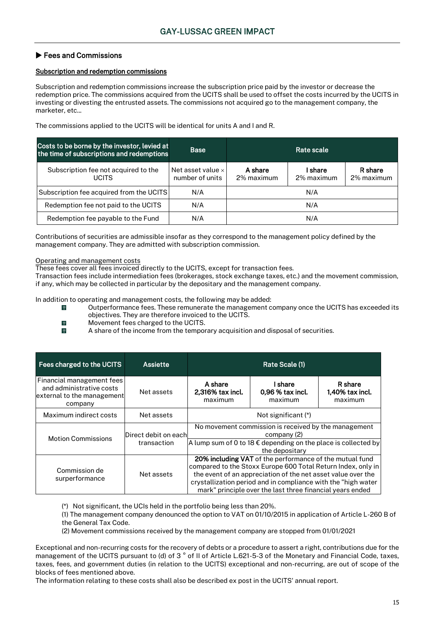## ▶ Fees and Commissions

#### Subscription and redemption commissions

Subscription and redemption commissions increase the subscription price paid by the investor or decrease the redemption price. The commissions acquired from the UCITS shall be used to offset the costs incurred by the UCITS in investing or divesting the entrusted assets. The commissions not acquired go to the management company, the marketer, etc.

The commissions applied to the UCITS will be identical for units A and I and R.

| Costs to be borne by the investor, levied at<br>the time of subscriptions and redemptions | <b>Base</b>                                 |                       | Rate scale            |                       |
|-------------------------------------------------------------------------------------------|---------------------------------------------|-----------------------|-----------------------|-----------------------|
| Subscription fee not acquired to the<br><b>UCITS</b>                                      | Net asset value $\times$<br>number of units | A share<br>2% maximum | I share<br>2% maximum | R share<br>2% maximum |
| Subscription fee acquired from the UCITS                                                  | N/A                                         |                       | N/A                   |                       |
| Redemption fee not paid to the UCITS                                                      | N/A                                         |                       | N/A                   |                       |
| Redemption fee payable to the Fund                                                        | N/A                                         |                       | N/A                   |                       |

Contributions of securities are admissible insofar as they correspond to the management policy defined by the management company. They are admitted with subscription commission.

#### Operating and management costs

These fees cover all fees invoiced directly to the UCITS, except for transaction fees.

Transaction fees include intermediation fees (brokerages, stock exchange taxes, etc.) and the movement commission, if any, which may be collected in particular by the depositary and the management company.

In addition to operating and management costs, the following may be added:

- Outperformance fees. These remunerate the management company once the UCITS has exceeded its  $\mathbf{Q}$ objectives. They are therefore invoiced to the UCITS.
- $\dot{\theta}$ Movement fees charged to the UCITS.
- $\dot{\theta}$ A share of the income from the temporary acquisition and disposal of securities.

| Fees charged to the UCITS                                                                                                                                                                                                                                                                                                                                              | <b>Assiette</b>                     | Rate Scale (1)                                                                                                                                                   |                                          |                                          |  |
|------------------------------------------------------------------------------------------------------------------------------------------------------------------------------------------------------------------------------------------------------------------------------------------------------------------------------------------------------------------------|-------------------------------------|------------------------------------------------------------------------------------------------------------------------------------------------------------------|------------------------------------------|------------------------------------------|--|
| Financial management fees<br>and administrative costs<br>external to the management<br>company                                                                                                                                                                                                                                                                         | Net assets                          | A share<br>2,316% tax incl.<br>maximum                                                                                                                           | l share<br>$0.96\%$ tax incl.<br>maximum | R share<br>$1,40\%$ tax incl.<br>maximum |  |
| Maximum indirect costs                                                                                                                                                                                                                                                                                                                                                 | Net assets                          | Not significant (*)                                                                                                                                              |                                          |                                          |  |
| <b>Motion Commissions</b>                                                                                                                                                                                                                                                                                                                                              | Direct debit on each<br>transaction | No movement commission is received by the management<br>company (2)<br>A lump sum of 0 to 18 $\epsilon$ depending on the place is collected by<br>the depositary |                                          |                                          |  |
| 20% including VAT of the performance of the mutual fund<br>compared to the Stoxx Europe 600 Total Return Index, only in<br>Commission de<br>the event of an appreciation of the net asset value over the<br>Net assets<br>surperformance<br>crystallization period and in compliance with the "high water<br>mark" principle over the last three financial years ended |                                     |                                                                                                                                                                  |                                          |                                          |  |

(\*) Not significant, the UCIs held in the portfolio being less than 20%.

(1) The management company denounced the option to VAT on 01/10/2015 in application of Article L-260 B of the General Tax Code.

(2) Movement commissions received by the management company are stopped from 01/01/2021

Exceptional and non-recurring costs for the recovery of debts or a procedure to assert a right, contributions due for the management of the UCITS pursuant to (d) of 3 ° of II of Article L.621-5-3 of the Monetary and Financial Code, taxes, taxes, fees, and government duties (in relation to the UCITS) exceptional and non-recurring, are out of scope of the blocks of fees mentioned above.

The information relating to these costs shall also be described ex post in the UCITS' annual report.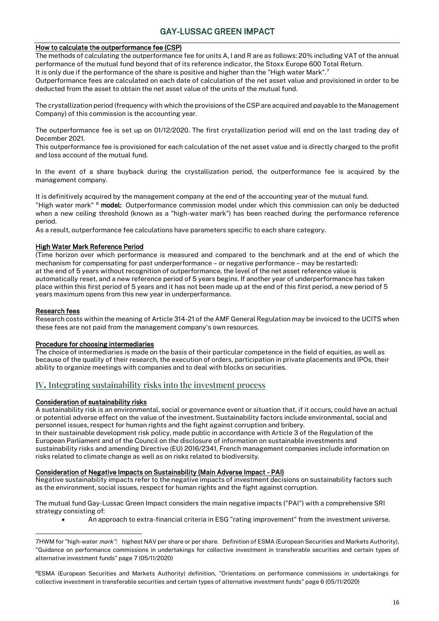#### How to calculate the outperformance fee (CSP)

The methods of calculating the outperformance fee for units A, I and R are as follows: 20% including VAT of the annual performance of the mutual fund beyond that of its reference indicator, the Stoxx Europe 600 Total Return.

It is only due if the performance of the share is positive and higher than the "High water Mark".<sup>7</sup>

Outperformance fees are calculated on each date of calculation of the net asset value and provisioned in order to be deducted from the asset to obtain the net asset value of the units of the mutual fund.

The crystallization period (frequency with which the provisions of the CSP are acquired and payable to the Management Company) of this commission is the accounting year.

The outperformance fee is set up on 01/12/2020. The first crystallization period will end on the last trading day of December 2021.

This outperformance fee is provisioned for each calculation of the net asset value and is directly charged to the profit and loss account of the mutual fund.

In the event of a share buyback during the crystallization period, the outperformance fee is acquired by the management company.

It is definitively acquired by the management company at the end of the accounting year of the mutual fund. "High water mark" <sup>8</sup> model: Outperformance commission model under which this commission can only be deducted when a new ceiling threshold (known as a "high-water mark") has been reached during the performance reference period.

As a result, outperformance fee calculations have parameters specific to each share category.

#### High Water Mark Reference Period

(Time horizon over which performance is measured and compared to the benchmark and at the end of which the mechanism for compensating for past underperformance – or negative performance – may be restarted): at the end of 5 years without recognition of outperformance, the level of the net asset reference value is automatically reset, and a new reference period of 5 years begins. If another year of underperformance has taken place within this first period of 5 years and it has not been made up at the end of this first period, a new period of 5 years maximum opens from this new year in underperformance.

#### Research fees

Research costs within the meaning of Article 314-21 of the AMF General Regulation may be invoiced to the UCITS when these fees are not paid from the management company's own resources.

#### Procedure for choosing intermediaries

The choice of intermediaries is made on the basis of their particular competence in the field of equities, as well as because of the quality of their research, the execution of orders, participation in private placements and IPOs, their ability to organize meetings with companies and to deal with blocks on securities.

## IV**.** Integrating sustainability risks into the investment process

#### Consideration of sustainability risks

A sustainability risk is an environmental, social or governance event or situation that, if it occurs, could have an actual or potential adverse effect on the value of the investment. Sustainability factors include environmental, social and personnel issues, respect for human rights and the fight against corruption and bribery.

In their sustainable development risk policy, made public in accordance with Article 3 of the Regulation of the European Parliament and of the Council on the disclosure of information on sustainable investments and sustainability risks and amending Directive (EU) 2016/2341, French management companies include information on risks related to climate change as well as on risks related to biodiversity.

#### Consideration of Negative Impacts on Sustainability (Main Adverse Impact - PAI)

Negative sustainability impacts refer to the negative impacts of investment decisions on sustainability factors such as the environment, social issues, respect for human rights and the fight against corruption.

The mutual fund Gay-Lussac Green Impact considers the main negative impacts ("PAI") with a comprehensive SRI strategy consisting of:

• An approach to extra-financial criteria in ESG "rating improvement" from the investment universe.

<sup>8</sup>ESMA (European Securities and Markets Authority) definition, "Orientations on performance commissions in undertakings for collective investment in transferable securities and certain types of alternative investment funds" page 6 (05/11/2020)

<sup>7</sup>HWM for "high-water *mark":* highest NAV per share or per share. Definition of ESMA (European Securities and Markets Authority), "Guidance on performance commissions in undertakings for collective investment in transferable securities and certain types of alternative investment funds" page 7 (05/11/2020)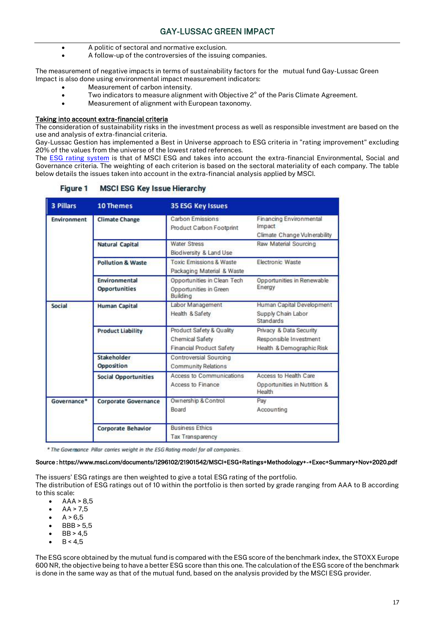- A politic of sectoral and normative exclusion.
- A follow-up of the controversies of the issuing companies.

The measurement of negative impacts in terms of sustainability factors for the mutual fund Gay-Lussac Green Impact is also done using environmental impact measurement indicators:

- Measurement of carbon intensity.
- Two indicators to measure alignment with Objective 2° of the Paris Climate Agreement.
- Measurement of alignment with European taxonomy.

#### Taking into account extra-financial criteria

The consideration of sustainability risks in the investment process as well as responsible investment are based on the use and analysis of extra-financial criteria.

Gay-Lussac Gestion has implemented a Best in Universe approach to ESG criteria in "rating improvement" excluding 20% of the values from the universe of the lowest rated references.

The [ESG rating system](https://www.msci.com/documents/1296102/21901542/MSCI+ESG+Ratings+Methodology+-+Exec+Summary+Nov+2020.pdf) is that of MSCI ESG and takes into account the extra-financial Environmental, Social and Governance criteria. The weighting of each criterion is based on the sectoral materiality of each company. The table below details the issues taken into account in the extra-financial analysis applied by MSCI.

| 3 Pillars          | 10 Themes                        | <b>35 ESG Key Issues</b>                                                |                                                                                |  |  |
|--------------------|----------------------------------|-------------------------------------------------------------------------|--------------------------------------------------------------------------------|--|--|
| <b>Environment</b> | <b>Climate Change</b>            | Carbon Emissions<br>Product Carbon Footprint                            | Financing Environmental<br>Impact<br>Climate Change Vulnerability              |  |  |
|                    | <b>Natural Capital</b>           | <b>Water Stress</b><br>Biodiversity & Land Use                          | Raw Material Sourcing                                                          |  |  |
|                    | <b>Pollution &amp; Waste</b>     | <b>Toxic Emissions &amp; Waste</b><br>Packaging Material & Waste        | <b>Electronic Waste</b>                                                        |  |  |
|                    | Environmental<br>Opportunities   | Opportunities in Clean Tech<br>Opportunities in Green<br>Building       | Opportunities in Renewable<br>Energy                                           |  |  |
| Social             | <b>Human Capital</b>             | Labor Management<br>Health & Safety                                     | Human Capital Development<br>Supply Chain Labor<br><b>Standards</b>            |  |  |
|                    | <b>Product Liability</b>         | Product Safety & Quality<br>Chemical Safety<br>Financial Product Safety | Privacy & Data Security<br>Responsible Investment<br>Health & Demographic Risk |  |  |
|                    | Stakeholder<br><b>Opposition</b> | Controversial Sourcing<br><b>Community Relations</b>                    |                                                                                |  |  |
|                    | <b>Social Opportunities</b>      | Access to Communications<br>Access to Finance                           | Access to Health Care<br>Opportunities in Nutrition &<br>Health                |  |  |
| Governance*        | <b>Corporate Governance</b>      | Ownership & Control<br>Board                                            | Pay<br>Accounting                                                              |  |  |
|                    | <b>Corporate Behavior</b>        | <b>Business Ethics</b><br>Tax Transparency                              |                                                                                |  |  |

#### **Figure 1 MSCI ESG Key Issue Hierarchy**

\* The Governance Pillar carries weight in the ESG Rating model for all companies.

#### Source : https://www.msci.com/documents/1296102/21901542/MSCI+ESG+Ratings+Methodology+-+Exec+Summary+Nov+2020.pdf

The issuers' ESG ratings are then weighted to give a total ESG rating of the portfolio. The distribution of ESG ratings out of 10 within the portfolio is then sorted by grade ranging from AAA to B according to this scale:

- $\bullet$  AAA > 8.5
- $AA > 7,5$
- $A > 6.5$
- BBB > 5,5
- $\bullet$  BB > 4.5
- $B < 4.5$

The ESG score obtained by the mutual fund is compared with the ESG score of the benchmark index, the STOXX Europe 600 NR, the objective being to have a better ESG score than this one. The calculation of the ESG score of the benchmark is done in the same way as that of the mutual fund, based on the analysis provided by the MSCI ESG provider.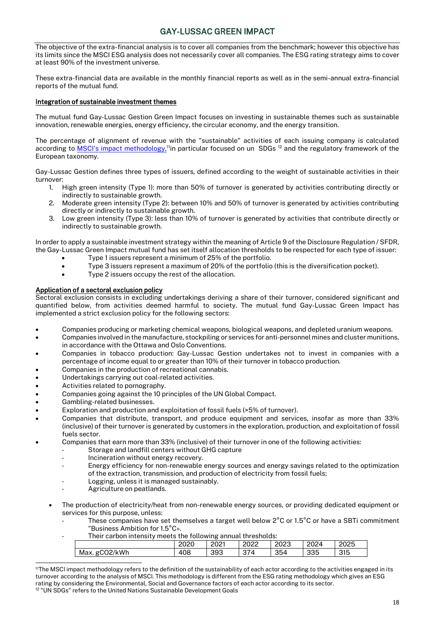The objective of the extra-financial analysis is to cover all companies from the benchmark; however this objective has its limits since the MSCI ESG analysis does not necessarily cover all companies. The ESG rating strategy aims to cover at least 90% of the investment universe.

These extra-financial data are available in the monthly financial reports as well as in the semi-annual extra-financial reports of the mutual fund.

#### Integration of sustainable investment themes

The mutual fund Gay-Lussac Gestion Green Impact focuses on investing in sustainable themes such as sustainable innovation, renewable energies, energy efficiency, the circular economy, and the energy transition.

The percentage of alignment of revenue with the "sustainable" activities of each issuing company is calculated according to [MSCI's impact methodology,](https://www.msci.com/eqb/methodology/meth_docs/MSCI_ACWI_Sustainable_Impact_Index_Feb2021.pdf)<sup>11</sup>in particular focused on un SDGs<sup>12</sup> and the regulatory framework of the European taxonomy.

Gay-Lussac Gestion defines three types of issuers, defined according to the weight of sustainable activities in their turnover:

- 1. High green intensity (Type 1): more than 50% of turnover is generated by activities contributing directly or indirectly to sustainable growth.
- 2. Moderate green intensity (Type 2): between 10% and 50% of turnover is generated by activities contributing directly or indirectly to sustainable growth.
- 3. Low green intensity (Type 3): less than 10% of turnover is generated by activities that contribute directly or indirectly to sustainable growth.

In order to apply a sustainable investment strategy within the meaning of Article 9 of the Disclosure Regulation / SFDR, the Gay-Lussac Green Impact mutual fund has set itself allocation thresholds to be respected for each type of issuer:

- Type 1 issuers represent a minimum of 25% of the portfolio.
- Type 3 issuers represent a maximum of 20% of the portfolio (this is the diversification pocket).
- Type 2 issuers occupy the rest of the allocation.

#### Application of a sectoral exclusion policy

Sectoral exclusion consists in excluding undertakings deriving a share of their turnover, considered significant and quantified below, from activities deemed harmful to society. The mutual fund Gay-Lussac Green Impact has implemented a strict exclusion policy for the following sectors:

- Companies producing or marketing chemical weapons, biological weapons, and depleted uranium weapons.
- Companies involved in the manufacture, stockpiling or services for anti-personnel mines and cluster munitions, in accordance with the Ottawa and Oslo Conventions.
- Companies in tobacco production: Gay-Lussac Gestion undertakes not to invest in companies with a percentage of income equal to or greater than 10% of their turnover in tobacco production.
- Companies in the production of recreational cannabis.
- Undertakings carrying out coal-related activities.
- Activities related to pornography.
- Companies going against the 10 principles of the UN Global Compact.
- Gambling-related businesses.
- Exploration and production and exploitation of fossil fuels (>5% of turnover).
- Companies that distribute, transport, and produce equipment and services, insofar as more than 33% (inclusive) of their turnover is generated by customers in the exploration, production, and exploitation of fossil fuels sector.
- Companies that earn more than 33% (inclusive) of their turnover in one of the following activities:
	- Storage and landfill centers without GHG capture
		- Incineration without energy recovery.
		- Energy efficiency for non-renewable energy sources and energy savings related to the optimization of the extraction, transmission, and production of electricity from fossil fuels;
		- Logging, unless it is managed sustainably.
	- Agriculture on peatlands.
	- The production of electricity/heat from non-renewable energy sources, or providing dedicated equipment or services for this purpose, unless:
		- These companies have set themselves a target well below 2°C or 1.5°C or have a SBTi commitment "Business Ambition for 1.5°C».
		- Their carbon intensity meets the following annual thresholds:

|                     | റററ<br>∠∪∠∪ | 2001<br>CUZ. | 0000<br>2022    | ה המ<br>2023 | 2024 | 2025 |
|---------------------|-------------|--------------|-----------------|--------------|------|------|
| :/kWh<br>Max.<br>σl | 108<br>4    | 393          | $\sim$<br>4 / ں | 354          | 335  | 315  |

<sup>11</sup>The MSCI impact methodology refers to the definition of the sustainability of each actor according to the activities engaged in its turnover according to the analysis of MSCI. This methodology is different from the ESG rating methodology which gives an ESG rating by considering the Environmental, Social and Governance factors of each actor according to its sector. <sup>12</sup> "UN SDGs" refers to the United Nations Sustainable Development Goals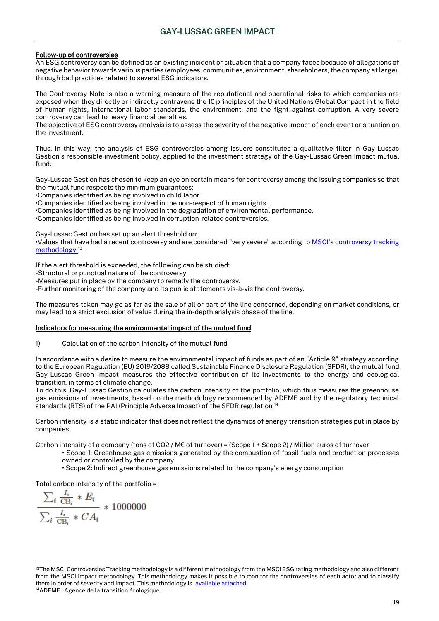#### Follow-up of controversies

An ESG controversy can be defined as an existing incident or situation that a company faces because of allegations of negative behavior towards various parties (employees, communities, environment, shareholders, the company at large), through bad practices related to several ESG indicators.

The Controversy Note is also a warning measure of the reputational and operational risks to which companies are exposed when they directly or indirectly contravene the 10 principles of the United Nations Global Compact in the field of human rights, international labor standards, the environment, and the fight against corruption. A very severe controversy can lead to heavy financial penalties.

The objective of ESG controversy analysis is to assess the severity of the negative impact of each event or situation on the investment.

Thus, in this way, the analysis of ESG controversies among issuers constitutes a qualitative filter in Gay-Lussac Gestion's responsible investment policy, applied to the investment strategy of the Gay-Lussac Green Impact mutual fund.

Gay-Lussac Gestion has chosen to keep an eye on certain means for controversy among the issuing companies so that the mutual fund respects the minimum guarantees:

•Companies identified as being involved in child labor.

•Companies identified as being involved in the non-respect of human rights.

•Companies identified as being involved in the degradation of environmental performance.

•Companies identified as being involved in corruption-related controversies.

Gay-Lussac Gestion has set up an alert threshold on:

•Values that have had a recent controversy and are considered "very severe" according to [MSCI's controversy tracking](https://www.msci.com/documents/1296102/14524248/MSCI+ESG+Research+Controversies+Executive+Summary+Methodology+-++July+2020.pdf)  [methodology;](https://www.msci.com/documents/1296102/14524248/MSCI+ESG+Research+Controversies+Executive+Summary+Methodology+-++July+2020.pdf)<sup>13</sup>

If the alert threshold is exceeded, the following can be studied:

-Structural or punctual nature of the controversy.

-Measures put in place by the company to remedy the controversy.

-Further monitoring of the company and its public statements vis-à-vis the controversy.

The measures taken may go as far as the sale of all or part of the line concerned, depending on market conditions, or may lead to a strict exclusion of value during the in-depth analysis phase of the line.

#### Indicators for measuring the environmental impact of the mutual fund

#### 1) Calculation of the carbon intensity of the mutual fund

In accordance with a desire to measure the environmental impact of funds as part of an "Article 9" strategy according to the European Regulation (EU) 2019/2088 called Sustainable Finance Disclosure Regulation (SFDR), the mutual fund Gay-Lussac Green Impact measures the effective contribution of its investments to the energy and ecological transition, in terms of climate change.

To do this, Gay-Lussac Gestion calculates the carbon intensity of the portfolio, which thus measures the greenhouse gas emissions of investments, based on the methodology recommended by ADEME and by the regulatory technical standards (RTS) of the PAI (Principle Adverse Impact) of the SFDR regulation.<sup>14</sup>

Carbon intensity is a static indicator that does not reflect the dynamics of energy transition strategies put in place by companies.

Carbon intensity of a company (tons of CO2 / M€ of turnover) = (Scope 1 + Scope 2) / Million euros of turnover

- Scope 1: Greenhouse gas emissions generated by the combustion of fossil fuels and production processes owned or controlled by the company
	- Scope 2: Indirect greenhouse gas emissions related to the company's energy consumption

Total carbon intensity of the portfolio =

$$
\frac{\sum_{i} \frac{I_i}{\text{CB}_i} * E_i}{\sum_{i} \frac{I_i}{\text{CB}_i} * CA_i} * 1000000
$$

14ADEME : Agence de la transition écologique

<sup>&</sup>lt;sup>13</sup>The MSCI Controversies Tracking methodology is a different methodology from the MSCI ESG rating methodology and also different from the MSCI impact methodology. This methodology makes it possible to monitor the controversies of each actor and to classify them in order of severity and impact. This methodology is [available attached.](https://www.msci.com/documents/1296102/14524248/MSCI+ESG+Research+Controversies+Executive+Summary+Methodology+-++July+2020.pdf)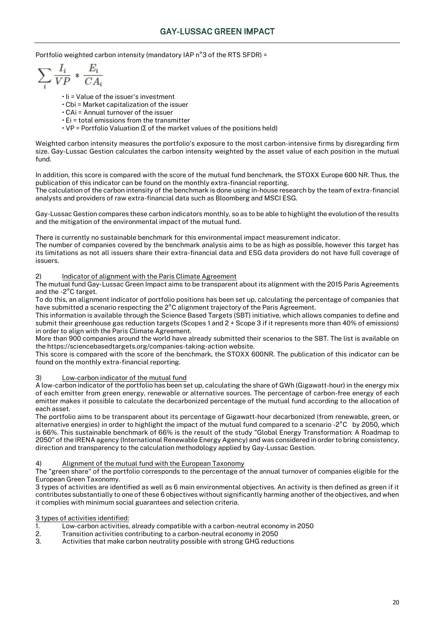Portfolio weighted carbon intensity (mandatory IAP n°3 of the RTS SFDR) =

 $\sum_i \frac{I_i}{VP} * \frac{E_i}{CA_i}$ 

- $\cdot$  Ii = Value of the issuer's investment
- $\cdot$  Cbi = Market capitalization of the issuer
- CAi = Annual turnover of the issuer
- Ei = total emissions from the transmitter
- VP = Portfolio Valuation (∑ of the market values of the positions held)

Weighted carbon intensity measures the portfolio's exposure to the most carbon-intensive firms by disregarding firm size. Gay-Lussac Gestion calculates the carbon intensity weighted by the asset value of each position in the mutual fund.

In addition, this score is compared with the score of the mutual fund benchmark, the STOXX Europe 600 NR. Thus, the publication of this indicator can be found on the monthly extra-financial reporting.

The calculation of the carbon intensity of the benchmark is done using in-house research by the team of extra-financial analysts and providers of raw extra-financial data such as Bloomberg and MSCI ESG.

Gay-Lussac Gestion compares these carbon indicators monthly, so as to be able to highlight the evolution of the results and the mitigation of the environmental impact of the mutual fund.

There is currently no sustainable benchmark for this environmental impact measurement indicator.

The number of companies covered by the benchmark analysis aims to be as high as possible, however this target has its limitations as not all issuers share their extra-financial data and ESG data providers do not have full coverage of issuers.

#### 2) Indicator of alignment with the Paris Climate Agreement

The mutual fund Gay-Lussac Green Impact aims to be transparent about its alignment with the 2015 Paris Agreements and the -2°C target.

To do this, an alignment indicator of portfolio positions has been set up, calculating the percentage of companies that have submitted a scenario respecting the 2°C alignment trajectory of the Paris Agreement.

This information is available through the Science Based Targets (SBT) initiative, which allows companies to define and submit their greenhouse gas reduction targets (Scopes 1 and 2 + Scope 3 if it represents more than 40% of emissions) in order to align with the Paris Climate Agreement.

More than 900 companies around the world have already submitted their scenarios to the SBT. The list is available on the https://sciencebasedtargets.org/companies-taking-action website.

This score is compared with the score of the benchmark, the STOXX 600NR. The publication of this indicator can be found on the monthly extra-financial reporting.

#### 3) Low-carbon indicator of the mutual fund

A low-carbon indicator of the portfolio has been set up, calculating the share of GWh (Gigawatt-hour) in the energy mix of each emitter from green energy, renewable or alternative sources. The percentage of carbon-free energy of each emitter makes it possible to calculate the decarbonized percentage of the mutual fund according to the allocation of each asset.

The portfolio aims to be transparent about its percentage of Gigawatt-hour decarbonized (from renewable, green, or alternative energies) in order to highlight the impact of the mutual fund compared to a scenario -2°C by 2050, which is 66%. This sustainable benchmark of 66% is the result of the study "Global Energy Transformation: A Roadmap to 2050" of the IRENA agency (International Renewable Energy Agency) and was considered in order to bring consistency, direction and transparency to the calculation methodology applied by Gay-Lussac Gestion.

#### 4) Alignment of the mutual fund with the European Taxonomy

The "green share" of the portfolio corresponds to the percentage of the annual turnover of companies eligible for the European Green Taxonomy.

3 types of activities are identified as well as 6 main environmental objectives. An activity is then defined as green if it contributes substantially to one of these 6 objectives without significantly harming another of the objectives, and when it complies with minimum social guarantees and selection criteria.

#### 3 types of activities identified:

- 1. Low-carbon activities, already compatible with a carbon-neutral economy in 2050
- 2. Transition activities contributing to a carbon-neutral economy in 2050
- 3. Activities that make carbon neutrality possible with strong GHG reductions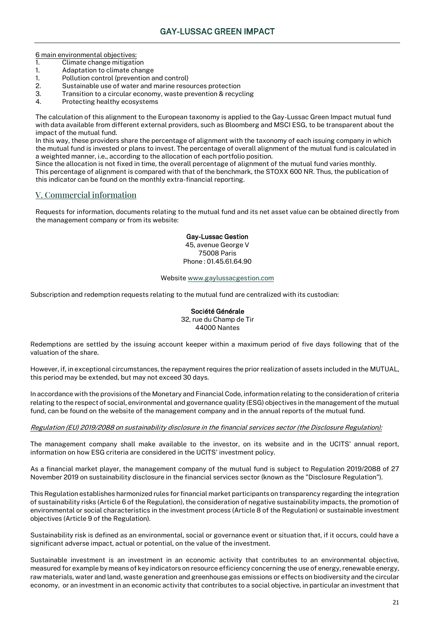6 main environmental objectives:

- 1. Climate change mitigation
- 1. Adaptation to climate change
- 1. Pollution control (prevention and control)
- 2. Sustainable use of water and marine resources protection<br>3. Transition to a circular economy, waste prevention & recyc
- Transition to a circular economy, waste prevention & recycling
- 4. Protecting healthy ecosystems

The calculation of this alignment to the European taxonomy is applied to the Gay-Lussac Green Impact mutual fund with data available from different external providers, such as Bloomberg and MSCI ESG, to be transparent about the impact of the mutual fund.

In this way, these providers share the percentage of alignment with the taxonomy of each issuing company in which the mutual fund is invested or plans to invest. The percentage of overall alignment of the mutual fund is calculated in a weighted manner, i.e., according to the allocation of each portfolio position.

Since the allocation is not fixed in time, the overall percentage of alignment of the mutual fund varies monthly. This percentage of alignment is compared with that of the benchmark, the STOXX 600 NR. Thus, the publication of this indicator can be found on the monthly extra-financial reporting.

## V. Commercial information

Requests for information, documents relating to the mutual fund and its net asset value can be obtained directly from the management company or from its website:

#### Gay-Lussac Gestion

45, avenue George V 75008 Paris Phone : 01.45.61.64.90

#### Websit[e www.gaylussacgestion.com](http://www.gaylussacgestion.com/)

Subscription and redemption requests relating to the mutual fund are centralized with its custodian:

#### Société Générale

32, rue du Champ de Tir 44000 Nantes

Redemptions are settled by the issuing account keeper within a maximum period of five days following that of the valuation of the share.

However, if, in exceptional circumstances, the repayment requires the prior realization of assets included in the MUTUAL, this period may be extended, but may not exceed 30 days.

In accordance with the provisions of the Monetary and Financial Code, information relating to the consideration of criteria relating to the respect of social, environmental and governance quality (ESG) objectives in the management of the mutual fund, can be found on the website of the management company and in the annual reports of the mutual fund.

#### Regulation (EU) 2019/2088 on sustainability disclosure in the financial services sector (the Disclosure Regulation):

The management company shall make available to the investor, on its website and in the UCITS' annual report, information on how ESG criteria are considered in the UCITS' investment policy.

As a financial market player, the management company of the mutual fund is subject to Regulation 2019/2088 of 27 November 2019 on sustainability disclosure in the financial services sector (known as the "Disclosure Regulation").

This Regulation establishes harmonized rules for financial market participants on transparency regarding the integration of sustainability risks (Article 6 of the Regulation), the consideration of negative sustainability impacts, the promotion of environmental or social characteristics in the investment process (Article 8 of the Regulation) or sustainable investment objectives (Article 9 of the Regulation).

Sustainability risk is defined as an environmental, social or governance event or situation that, if it occurs, could have a significant adverse impact, actual or potential, on the value of the investment.

Sustainable investment is an investment in an economic activity that contributes to an environmental objective, measured for example by means of key indicators on resource efficiency concerning the use of energy, renewable energy, raw materials, water and land, waste generation and greenhouse gas emissions or effects on biodiversity and the circular economy, or an investment in an economic activity that contributes to a social objective, in particular an investment that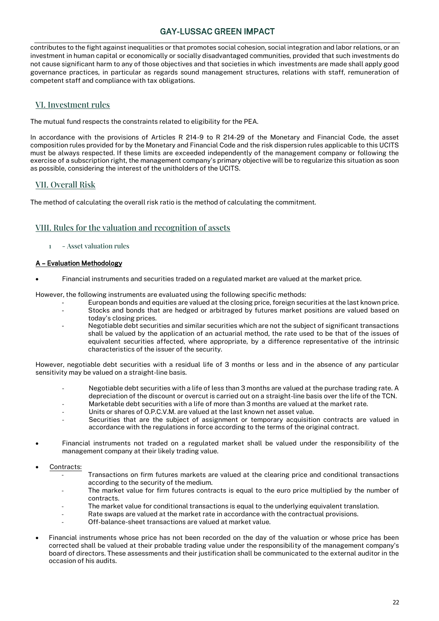contributes to the fight against inequalities or that promotes social cohesion, social integration and labor relations, or an investment in human capital or economically or socially disadvantaged communities, provided that such investments do not cause significant harm to any of those objectives and that societies in which investments are made shall apply good governance practices, in particular as regards sound management structures, relations with staff, remuneration of competent staff and compliance with tax obligations.

## VI. Investment rules

The mutual fund respects the constraints related to eligibility for the PEA.

In accordance with the provisions of Articles R 214-9 to R 214-29 of the Monetary and Financial Code, the asset composition rules provided for by the Monetary and Financial Code and the risk dispersion rules applicable to this UCITS must be always respected. If these limits are exceeded independently of the management company or following the exercise of a subscription right, the management company's primary objective will be to regularize this situation as soon as possible, considering the interest of the unitholders of the UCITS.

## VII. Overall Risk

The method of calculating the overall risk ratio is the method of calculating the commitment.

## VIII. Rules for the valuation and recognition of assets

1 - Asset valuation rules

### A – Evaluation Methodology

• Financial instruments and securities traded on a regulated market are valued at the market price.

However, the following instruments are evaluated using the following specific methods:

- European bonds and equities are valued at the closing price, foreign securities at the last known price. Stocks and bonds that are hedged or arbitraged by futures market positions are valued based on today's closing prices.
- Negotiable debt securities and similar securities which are not the subject of significant transactions shall be valued by the application of an actuarial method, the rate used to be that of the issues of equivalent securities affected, where appropriate, by a difference representative of the intrinsic characteristics of the issuer of the security.

However, negotiable debt securities with a residual life of 3 months or less and in the absence of any particular sensitivity may be valued on a straight-line basis.

- Negotiable debt securities with a life of less than 3 months are valued at the purchase trading rate. A depreciation of the discount or overcut is carried out on a straight-line basis over the life of the TCN.
- Marketable debt securities with a life of more than 3 months are valued at the market rate.
- Units or shares of O.P.C.V.M. are valued at the last known net asset value.
- Securities that are the subject of assignment or temporary acquisition contracts are valued in accordance with the regulations in force according to the terms of the original contract.
- Financial instruments not traded on a regulated market shall be valued under the responsibility of the management company at their likely trading value.
- Contracts:
	- Transactions on firm futures markets are valued at the clearing price and conditional transactions according to the security of the medium.
	- The market value for firm futures contracts is equal to the euro price multiplied by the number of contracts.
	- The market value for conditional transactions is equal to the underlying equivalent translation.
	- Rate swaps are valued at the market rate in accordance with the contractual provisions.
	- Off-balance-sheet transactions are valued at market value.
- Financial instruments whose price has not been recorded on the day of the valuation or whose price has been corrected shall be valued at their probable trading value under the responsibility of the management company's board of directors. These assessments and their justification shall be communicated to the external auditor in the occasion of his audits.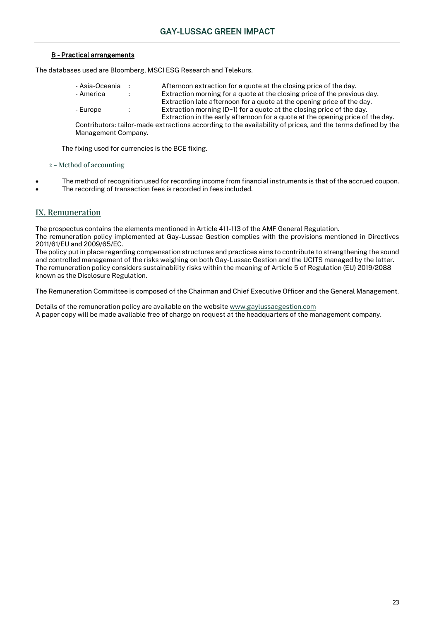### B - Practical arrangements

The databases used are Bloomberg, MSCI ESG Research and Telekurs.

- 
- 
- 

- Asia-Oceania : Afternoon extraction for a quote at the closing price of the day.<br>- America : Extraction morning for a quote at the closing price of the previo : Extraction morning for a quote at the closing price of the previous day. Extraction late afternoon for a quote at the opening price of the day. - Europe : Extraction morning (D+1) for a quote at the closing price of the day. Extraction in the early afternoon for a quote at the opening price of the day.

Contributors: tailor-made extractions according to the availability of prices, and the terms defined by the Management Company.

The fixing used for currencies is the BCE fixing.

#### 2 - Method of accounting

- The method of recognition used for recording income from financial instruments is that of the accrued coupon.
- The recording of transaction fees is recorded in fees included.

## IX. Remuneration

The prospectus contains the elements mentioned in Article 411-113 of the AMF General Regulation. The remuneration policy implemented at Gay-Lussac Gestion complies with the provisions mentioned in Directives 2011/61/EU and 2009/65/EC.

The policy put in place regarding compensation structures and practices aims to contribute to strengthening the sound and controlled management of the risks weighing on both Gay-Lussac Gestion and the UCITS managed by the latter. The remuneration policy considers sustainability risks within the meaning of Article 5 of Regulation (EU) 2019/2088 known as the Disclosure Regulation.

The Remuneration Committee is composed of the Chairman and Chief Executive Officer and the General Management.

Details of the remuneration policy are available on the websit[e www.gaylussacgestion.com](http://www.gaylussacgestion.com/) A paper copy will be made available free of charge on request at the headquarters of the management company.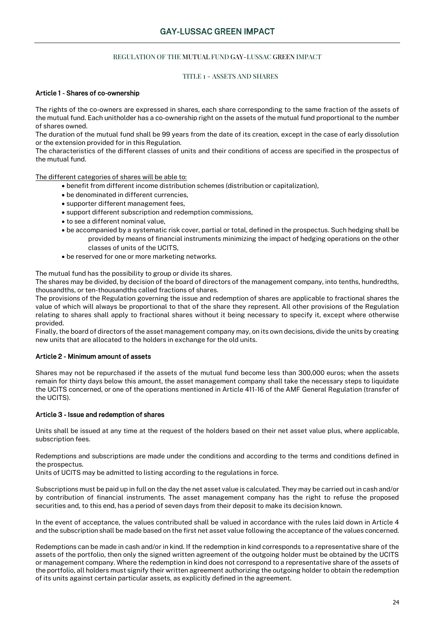#### REGULATION OF THE MUTUAL FUND GAY-LUSSAC GREEN IMPACT

#### TITLE 1 - ASSETS AND SHARES

#### Article 1 - Shares of co-ownership

The rights of the co-owners are expressed in shares, each share corresponding to the same fraction of the assets of the mutual fund. Each unitholder has a co-ownership right on the assets of the mutual fund proportional to the number of shares owned.

The duration of the mutual fund shall be 99 years from the date of its creation, except in the case of early dissolution or the extension provided for in this Regulation.

The characteristics of the different classes of units and their conditions of access are specified in the prospectus of the mutual fund.

The different categories of shares will be able to:

- benefit from different income distribution schemes (distribution or capitalization),
- be denominated in different currencies,
- supporter different management fees,
- support different subscription and redemption commissions,
- to see a different nominal value,
- be accompanied by a systematic risk cover, partial or total, defined in the prospectus. Such hedging shall be provided by means of financial instruments minimizing the impact of hedging operations on the other classes of units of the UCITS,
- be reserved for one or more marketing networks.

The mutual fund has the possibility to group or divide its shares.

The shares may be divided, by decision of the board of directors of the management company, into tenths, hundredths, thousandths, or ten-thousandths called fractions of shares.

The provisions of the Regulation governing the issue and redemption of shares are applicable to fractional shares the value of which will always be proportional to that of the share they represent. All other provisions of the Regulation relating to shares shall apply to fractional shares without it being necessary to specify it, except where otherwise provided.

Finally, the board of directors of the asset management company may, on its own decisions, divide the units by creating new units that are allocated to the holders in exchange for the old units.

#### Article 2 - Minimum amount of assets

Shares may not be repurchased if the assets of the mutual fund become less than 300,000 euros; when the assets remain for thirty days below this amount, the asset management company shall take the necessary steps to liquidate the UCITS concerned, or one of the operations mentioned in Article 411-16 of the AMF General Regulation (transfer of the UCITS).

#### Article 3 - Issue and redemption of shares

Units shall be issued at any time at the request of the holders based on their net asset value plus, where applicable, subscription fees.

Redemptions and subscriptions are made under the conditions and according to the terms and conditions defined in the prospectus.

Units of UCITS may be admitted to listing according to the regulations in force.

Subscriptions must be paid up in full on the day the net asset value is calculated. They may be carried out in cash and/or by contribution of financial instruments. The asset management company has the right to refuse the proposed securities and, to this end, has a period of seven days from their deposit to make its decision known.

In the event of acceptance, the values contributed shall be valued in accordance with the rules laid down in Article 4 and the subscription shall be made based on the first net asset value following the acceptance of the values concerned.

Redemptions can be made in cash and/or in kind. If the redemption in kind corresponds to a representative share of the assets of the portfolio, then only the signed written agreement of the outgoing holder must be obtained by the UCITS or management company. Where the redemption in kind does not correspond to a representative share of the assets of the portfolio, all holders must signify their written agreement authorizing the outgoing holder to obtain the redemption of its units against certain particular assets, as explicitly defined in the agreement.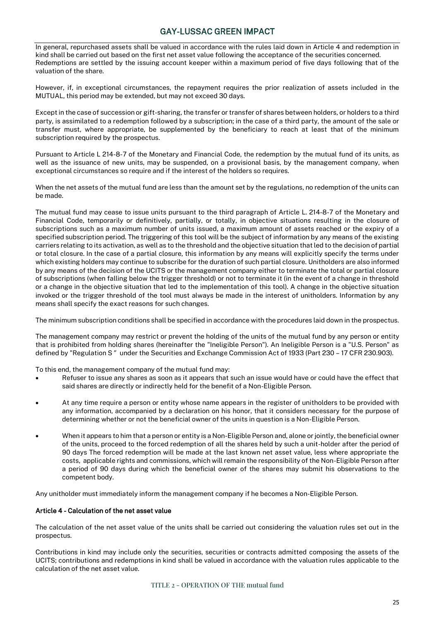In general, repurchased assets shall be valued in accordance with the rules laid down in Article 4 and redemption in kind shall be carried out based on the first net asset value following the acceptance of the securities concerned. Redemptions are settled by the issuing account keeper within a maximum period of five days following that of the valuation of the share.

However, if, in exceptional circumstances, the repayment requires the prior realization of assets included in the MUTUAL, this period may be extended, but may not exceed 30 days.

Except in the case of succession or gift-sharing, the transfer or transfer of shares between holders, or holders to a third party, is assimilated to a redemption followed by a subscription; in the case of a third party, the amount of the sale or transfer must, where appropriate, be supplemented by the beneficiary to reach at least that of the minimum subscription required by the prospectus.

Pursuant to Article L 214-8-7 of the Monetary and Financial Code, the redemption by the mutual fund of its units, as well as the issuance of new units, may be suspended, on a provisional basis, by the management company, when exceptional circumstances so require and if the interest of the holders so requires.

When the net assets of the mutual fund are less than the amount set by the regulations, no redemption of the units can be made.

The mutual fund may cease to issue units pursuant to the third paragraph of Article L. 214-8-7 of the Monetary and Financial Code, temporarily or definitively, partially, or totally, in objective situations resulting in the closure of subscriptions such as a maximum number of units issued, a maximum amount of assets reached or the expiry of a specified subscription period. The triggering of this tool will be the subject of information by any means of the existing carriers relating to its activation, as well as to the threshold and the objective situation that led to the decision of partial or total closure. In the case of a partial closure, this information by any means will explicitly specify the terms under which existing holders may continue to subscribe for the duration of such partial closure. Unitholders are also informed by any means of the decision of the UCITS or the management company either to terminate the total or partial closure of subscriptions (when falling below the trigger threshold) or not to terminate it (in the event of a change in threshold or a change in the objective situation that led to the implementation of this tool). A change in the objective situation invoked or the trigger threshold of the tool must always be made in the interest of unitholders. Information by any means shall specify the exact reasons for such changes.

The minimum subscription conditions shall be specified in accordance with the procedures laid down in the prospectus.

The management company may restrict or prevent the holding of the units of the mutual fund by any person or entity that is prohibited from holding shares (hereinafter the "Ineligible Person"). An Ineligible Person is a "U.S. Person" as defined by "Regulation S" under the Securities and Exchange Commission Act of 1933 (Part 230 – 17 CFR 230.903).

To this end, the management company of the mutual fund may:

- Refuser to issue any shares as soon as it appears that such an issue would have or could have the effect that said shares are directly or indirectly held for the benefit of a Non-Eligible Person.
- At any time require a person or entity whose name appears in the register of unitholders to be provided with any information, accompanied by a declaration on his honor, that it considers necessary for the purpose of determining whether or not the beneficial owner of the units in question is a Non-Eligible Person.
- When it appears to him that a person or entity is a Non-Eligible Person and, alone or jointly, the beneficial owner of the units, proceed to the forced redemption of all the shares held by such a unit-holder after the period of 90 days The forced redemption will be made at the last known net asset value, less where appropriate the costs, applicable rights and commissions, which will remain the responsibility of the Non-Eligible Person after a period of 90 days during which the beneficial owner of the shares may submit his observations to the competent body.

Any unitholder must immediately inform the management company if he becomes a Non-Eligible Person.

#### Article 4 - Calculation of the net asset value

The calculation of the net asset value of the units shall be carried out considering the valuation rules set out in the prospectus.

Contributions in kind may include only the securities, securities or contracts admitted composing the assets of the UCITS; contributions and redemptions in kind shall be valued in accordance with the valuation rules applicable to the calculation of the net asset value.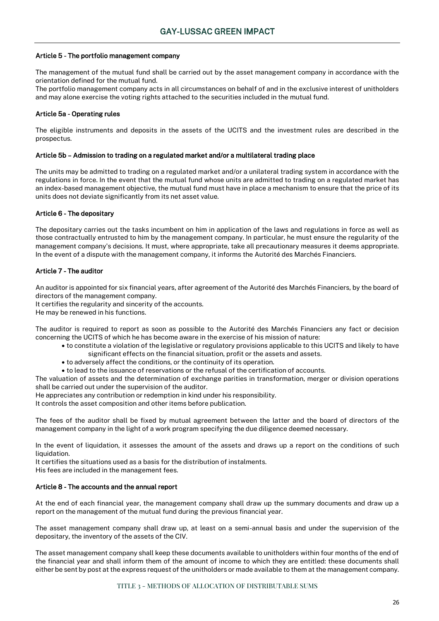#### Article 5 - The portfolio management company

The management of the mutual fund shall be carried out by the asset management company in accordance with the orientation defined for the mutual fund.

The portfolio management company acts in all circumstances on behalf of and in the exclusive interest of unitholders and may alone exercise the voting rights attached to the securities included in the mutual fund.

#### Article 5a - Operating rules

The eligible instruments and deposits in the assets of the UCITS and the investment rules are described in the prospectus.

#### Article 5b – Admission to trading on a regulated market and/or a multilateral trading place

The units may be admitted to trading on a regulated market and/or a unilateral trading system in accordance with the regulations in force. In the event that the mutual fund whose units are admitted to trading on a regulated market has an index-based management objective, the mutual fund must have in place a mechanism to ensure that the price of its units does not deviate significantly from its net asset value.

#### Article 6 - The depositary

The depositary carries out the tasks incumbent on him in application of the laws and regulations in force as well as those contractually entrusted to him by the management company. In particular, he must ensure the regularity of the management company's decisions. It must, where appropriate, take all precautionary measures it deems appropriate. In the event of a dispute with the management company, it informs the Autorité des Marchés Financiers.

#### Article 7 - The auditor

An auditor is appointed for six financial years, after agreement of the Autorité des Marchés Financiers, by the board of directors of the management company.

It certifies the regularity and sincerity of the accounts.

He may be renewed in his functions.

The auditor is required to report as soon as possible to the Autorité des Marchés Financiers any fact or decision concerning the UCITS of which he has become aware in the exercise of his mission of nature:

- to constitute a violation of the legislative or regulatory provisions applicable to this UCITS and likely to have significant effects on the financial situation, profit or the assets and assets.
- to adversely affect the conditions, or the continuity of its operation.
- to lead to the issuance of reservations or the refusal of the certification of accounts.

The valuation of assets and the determination of exchange parities in transformation, merger or division operations shall be carried out under the supervision of the auditor.

He appreciates any contribution or redemption in kind under his responsibility.

It controls the asset composition and other items before publication.

The fees of the auditor shall be fixed by mutual agreement between the latter and the board of directors of the management company in the light of a work program specifying the due diligence deemed necessary.

In the event of liquidation, it assesses the amount of the assets and draws up a report on the conditions of such liquidation.

It certifies the situations used as a basis for the distribution of instalments.

His fees are included in the management fees.

#### Article 8 - The accounts and the annual report

At the end of each financial year, the management company shall draw up the summary documents and draw up a report on the management of the mutual fund during the previous financial year.

The asset management company shall draw up, at least on a semi-annual basis and under the supervision of the depositary, the inventory of the assets of the CIV.

The asset management company shall keep these documents available to unitholders within four months of the end of the financial year and shall inform them of the amount of income to which they are entitled: these documents shall either be sent by post at the express request of the unitholders or made available to them at the management company.